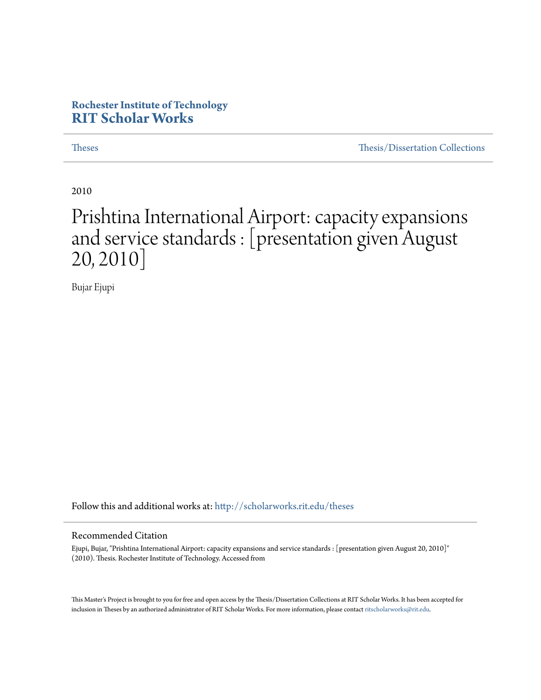## **Rochester Institute of Technology [RIT Scholar Works](http://scholarworks.rit.edu?utm_source=scholarworks.rit.edu%2Ftheses%2F7029&utm_medium=PDF&utm_campaign=PDFCoverPages)**

[Theses](http://scholarworks.rit.edu/theses?utm_source=scholarworks.rit.edu%2Ftheses%2F7029&utm_medium=PDF&utm_campaign=PDFCoverPages) [Thesis/Dissertation Collections](http://scholarworks.rit.edu/etd_collections?utm_source=scholarworks.rit.edu%2Ftheses%2F7029&utm_medium=PDF&utm_campaign=PDFCoverPages)

2010

# Prishtina International Airport: capacity expansions and service standards : [presentation given August 20, 2010]

Bujar Ejupi

Follow this and additional works at: [http://scholarworks.rit.edu/theses](http://scholarworks.rit.edu/theses?utm_source=scholarworks.rit.edu%2Ftheses%2F7029&utm_medium=PDF&utm_campaign=PDFCoverPages)

#### Recommended Citation

Ejupi, Bujar, "Prishtina International Airport: capacity expansions and service standards : [presentation given August 20, 2010]" (2010). Thesis. Rochester Institute of Technology. Accessed from

This Master's Project is brought to you for free and open access by the Thesis/Dissertation Collections at RIT Scholar Works. It has been accepted for inclusion in Theses by an authorized administrator of RIT Scholar Works. For more information, please contact [ritscholarworks@rit.edu](mailto:ritscholarworks@rit.edu).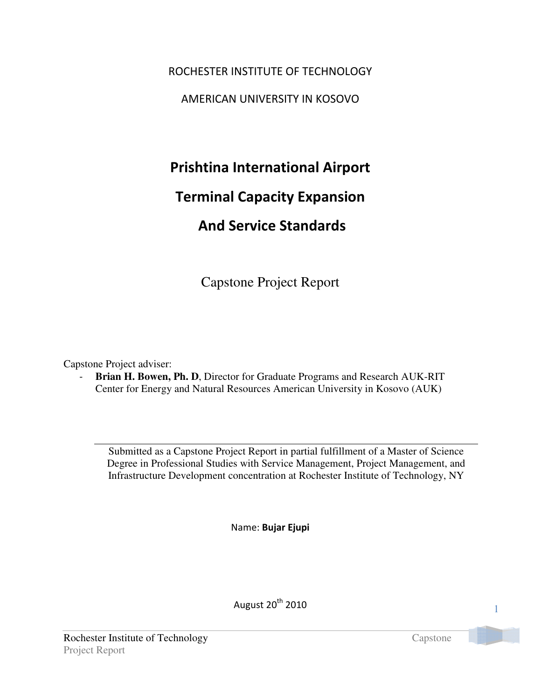ROCHESTER INSTITUTE OF TECHNOLOGY AMERICAN UNIVERSITY IN KOSOVO

Prishtina International Airport

# Terminal Capacity Expansion

# And Service Standards

Capstone Project Report

Capstone Project adviser:

**Brian H. Bowen, Ph. D.** Director for Graduate Programs and Research AUK-RIT Center for Energy and Natural Resources American University in Kosovo (AUK)

Submitted as a Capstone Project Report in partial fulfillment of a Master of Science Degree in Professional Studies with Service Management, Project Management, and Infrastructure Development concentration at Rochester Institute of Technology, NY

Name: Bujar Ejupi

August 20th 2010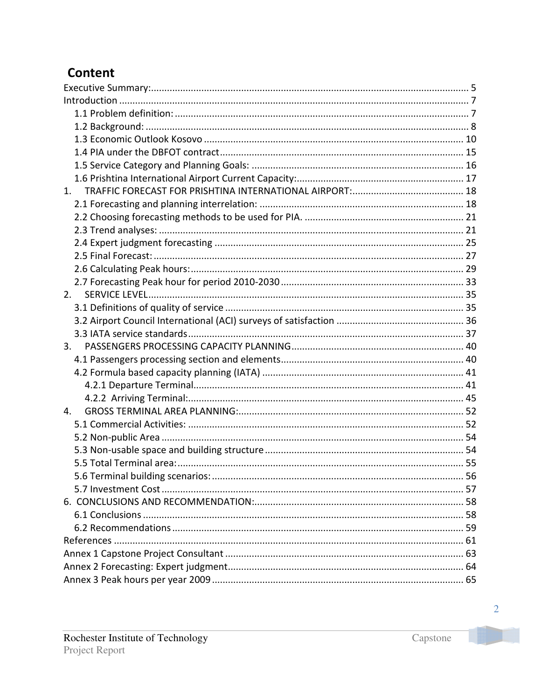# **Content**

| 1. |  |
|----|--|
|    |  |
|    |  |
|    |  |
|    |  |
|    |  |
|    |  |
|    |  |
| 2. |  |
|    |  |
|    |  |
|    |  |
| 3. |  |
|    |  |
|    |  |
|    |  |
|    |  |
| 4. |  |
|    |  |
|    |  |
|    |  |
|    |  |
|    |  |
|    |  |
|    |  |
|    |  |
|    |  |
|    |  |
|    |  |
|    |  |
|    |  |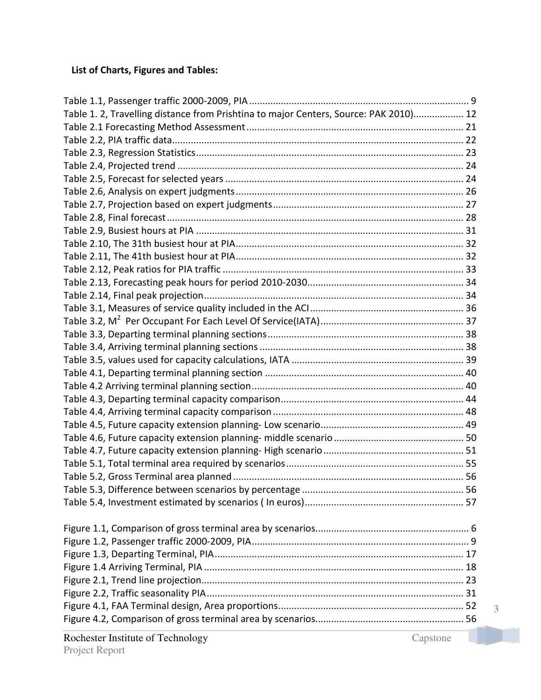## List of Charts, Figures and Tables:

| Rochester Institute of Technology<br>Capstone                                         |   |
|---------------------------------------------------------------------------------------|---|
|                                                                                       |   |
|                                                                                       | 3 |
|                                                                                       |   |
|                                                                                       |   |
|                                                                                       |   |
|                                                                                       |   |
|                                                                                       |   |
|                                                                                       |   |
|                                                                                       |   |
|                                                                                       |   |
|                                                                                       |   |
|                                                                                       |   |
|                                                                                       |   |
|                                                                                       |   |
|                                                                                       |   |
|                                                                                       |   |
|                                                                                       |   |
|                                                                                       |   |
|                                                                                       |   |
|                                                                                       |   |
|                                                                                       |   |
|                                                                                       |   |
|                                                                                       |   |
|                                                                                       |   |
|                                                                                       |   |
|                                                                                       |   |
|                                                                                       |   |
|                                                                                       |   |
|                                                                                       |   |
|                                                                                       |   |
|                                                                                       |   |
|                                                                                       |   |
|                                                                                       |   |
|                                                                                       |   |
|                                                                                       |   |
|                                                                                       |   |
|                                                                                       |   |
|                                                                                       |   |
|                                                                                       |   |
| Table 1. 2, Travelling distance from Prishtina to major Centers, Source: PAK 2010) 12 |   |
|                                                                                       |   |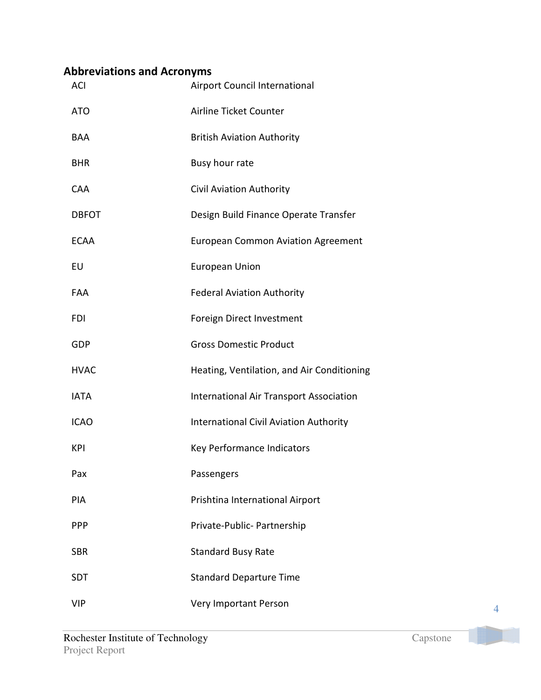# Abbreviations and Acronyms

| <b>ACI</b>   | Airport Council International                  |
|--------------|------------------------------------------------|
| <b>ATO</b>   | Airline Ticket Counter                         |
| BAA          | <b>British Aviation Authority</b>              |
| <b>BHR</b>   | Busy hour rate                                 |
| <b>CAA</b>   | Civil Aviation Authority                       |
| <b>DBFOT</b> | Design Build Finance Operate Transfer          |
| <b>ECAA</b>  | <b>European Common Aviation Agreement</b>      |
| EU           | <b>European Union</b>                          |
| FAA          | <b>Federal Aviation Authority</b>              |
| <b>FDI</b>   | Foreign Direct Investment                      |
| GDP          | <b>Gross Domestic Product</b>                  |
| <b>HVAC</b>  | Heating, Ventilation, and Air Conditioning     |
| <b>IATA</b>  | <b>International Air Transport Association</b> |
| <b>ICAO</b>  | <b>International Civil Aviation Authority</b>  |
| KPI          | Key Performance Indicators                     |
| Pax          | Passengers                                     |
| PIA          | Prishtina International Airport                |
| <b>PPP</b>   | Private-Public- Partnership                    |
| <b>SBR</b>   | <b>Standard Busy Rate</b>                      |
| <b>SDT</b>   | <b>Standard Departure Time</b>                 |
| <b>VIP</b>   | Very Important Person                          |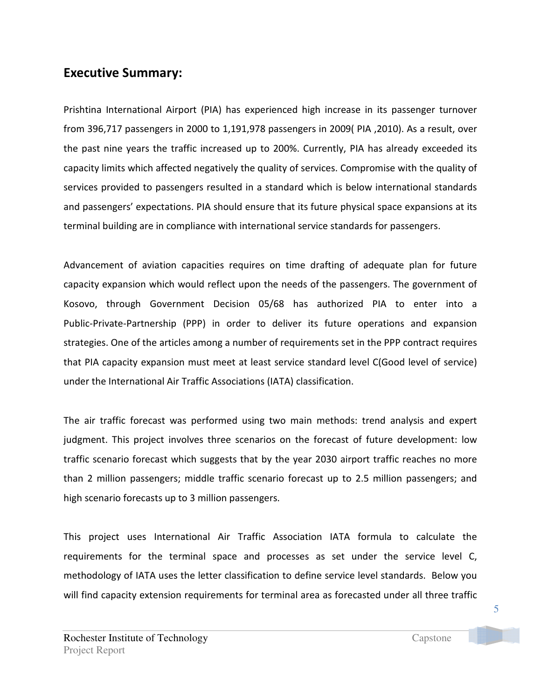## Executive Summary:

Prishtina International Airport (PIA) has experienced high increase in its passenger turnover from 396,717 passengers in 2000 to 1,191,978 passengers in 2009( PIA ,2010). As a result, over the past nine years the traffic increased up to 200%. Currently, PIA has already exceeded its capacity limits which affected negatively the quality of services. Compromise with the quality of services provided to passengers resulted in a standard which is below international standards and passengers' expectations. PIA should ensure that its future physical space expansions at its terminal building are in compliance with international service standards for passengers.

Advancement of aviation capacities requires on time drafting of adequate plan for future capacity expansion which would reflect upon the needs of the passengers. The government of Kosovo, through Government Decision 05/68 has authorized PIA to enter into a Public-Private-Partnership (PPP) in order to deliver its future operations and expansion strategies. One of the articles among a number of requirements set in the PPP contract requires that PIA capacity expansion must meet at least service standard level C(Good level of service) under the International Air Traffic Associations (IATA) classification.

The air traffic forecast was performed using two main methods: trend analysis and expert judgment. This project involves three scenarios on the forecast of future development: low traffic scenario forecast which suggests that by the year 2030 airport traffic reaches no more than 2 million passengers; middle traffic scenario forecast up to 2.5 million passengers; and high scenario forecasts up to 3 million passengers.

This project uses International Air Traffic Association IATA formula to calculate the requirements for the terminal space and processes as set under the service level C, methodology of IATA uses the letter classification to define service level standards. Below you will find capacity extension requirements for terminal area as forecasted under all three traffic

5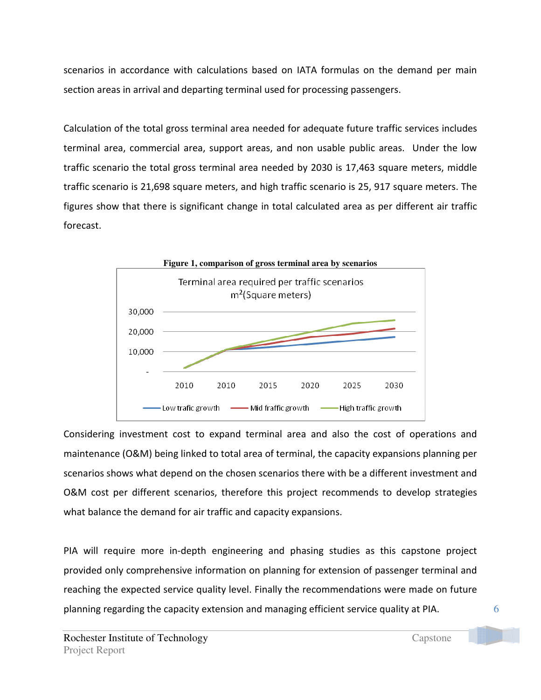scenarios in accordance with calculations based on IATA formulas on the demand per main section areas in arrival and departing terminal used for processing passengers.

Calculation of the total gross terminal area needed for adequate future traffic services includes terminal area, commercial area, support areas, and non usable public areas. Under the low traffic scenario the total gross terminal area needed by 2030 is 17,463 square meters, middle traffic scenario is 21,698 square meters, and high traffic scenario is 25, 917 square meters. The figures show that there is significant change in total calculated area as per different air traffic forecast.



Considering investment cost to expand terminal area and also the cost of operations and maintenance (O&M) being linked to total area of terminal, the capacity expansions planning per scenarios shows what depend on the chosen scenarios there with be a different investment and O&M cost per different scenarios, therefore this project recommends to develop strategies what balance the demand for air traffic and capacity expansions.

PIA will require more in-depth engineering and phasing studies as this capstone project provided only comprehensive information on planning for extension of passenger terminal and reaching the expected service quality level. Finally the recommendations were made on future planning regarding the capacity extension and managing efficient service quality at PIA.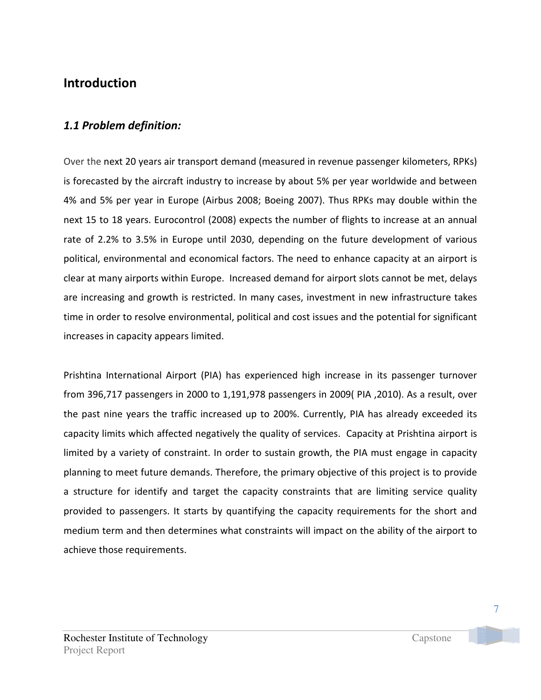# Introduction

## 1.1 Problem definition:

Over the next 20 years air transport demand (measured in revenue passenger kilometers, RPKs) is forecasted by the aircraft industry to increase by about 5% per year worldwide and between 4% and 5% per year in Europe (Airbus 2008; Boeing 2007). Thus RPKs may double within the next 15 to 18 years. Eurocontrol (2008) expects the number of flights to increase at an annual rate of 2.2% to 3.5% in Europe until 2030, depending on the future development of various political, environmental and economical factors. The need to enhance capacity at an airport is clear at many airports within Europe. Increased demand for airport slots cannot be met, delays are increasing and growth is restricted. In many cases, investment in new infrastructure takes time in order to resolve environmental, political and cost issues and the potential for significant increases in capacity appears limited.

Prishtina International Airport (PIA) has experienced high increase in its passenger turnover from 396,717 passengers in 2000 to 1,191,978 passengers in 2009( PIA ,2010). As a result, over the past nine years the traffic increased up to 200%. Currently, PIA has already exceeded its capacity limits which affected negatively the quality of services. Capacity at Prishtina airport is limited by a variety of constraint. In order to sustain growth, the PIA must engage in capacity planning to meet future demands. Therefore, the primary objective of this project is to provide a structure for identify and target the capacity constraints that are limiting service quality provided to passengers. It starts by quantifying the capacity requirements for the short and medium term and then determines what constraints will impact on the ability of the airport to achieve those requirements.

7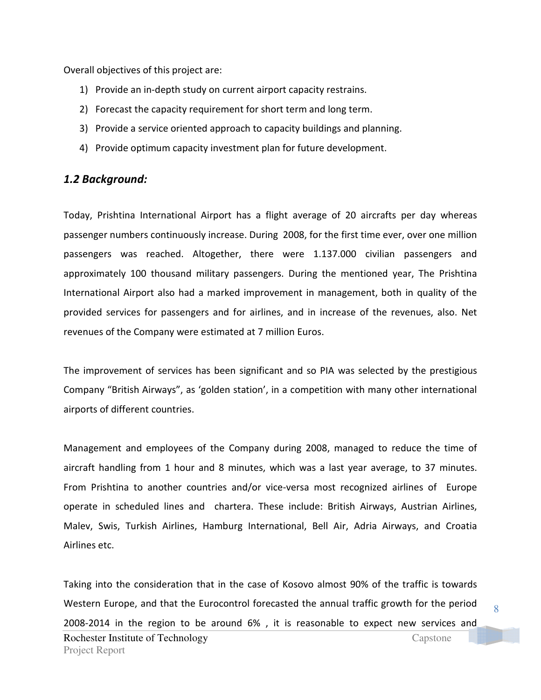Overall objectives of this project are:

- 1) Provide an in-depth study on current airport capacity restrains.
- 2) Forecast the capacity requirement for short term and long term.
- 3) Provide a service oriented approach to capacity buildings and planning.
- 4) Provide optimum capacity investment plan for future development.

## 1.2 Background:

Today, Prishtina International Airport has a flight average of 20 aircrafts per day whereas passenger numbers continuously increase. During 2008, for the first time ever, over one million passengers was reached. Altogether, there were 1.137.000 civilian passengers and approximately 100 thousand military passengers. During the mentioned year, The Prishtina International Airport also had a marked improvement in management, both in quality of the provided services for passengers and for airlines, and in increase of the revenues, also. Net revenues of the Company were estimated at 7 million Euros.

The improvement of services has been significant and so PIA was selected by the prestigious Company "British Airways", as 'golden station', in a competition with many other international airports of different countries.

Management and employees of the Company during 2008, managed to reduce the time of aircraft handling from 1 hour and 8 minutes, which was a last year average, to 37 minutes. From Prishtina to another countries and/or vice-versa most recognized airlines of Europe operate in scheduled lines and chartera. These include: British Airways, Austrian Airlines, Malev, Swis, Turkish Airlines, Hamburg International, Bell Air, Adria Airways, and Croatia Airlines etc.

Rochester Institute of Technology Capstone Project Report Taking into the consideration that in the case of Kosovo almost 90% of the traffic is towards Western Europe, and that the Eurocontrol forecasted the annual traffic growth for the period 2008-2014 in the region to be around 6% , it is reasonable to expect new services and

8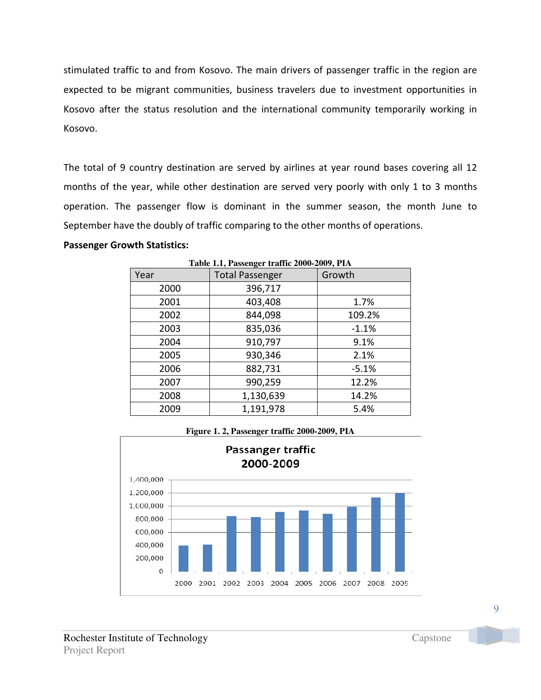stimulated traffic to and from Kosovo. The main drivers of passenger traffic in the region are expected to be migrant communities, business travelers due to investment opportunities in Kosovo after the status resolution and the international community temporarily working in Kosovo.

The total of 9 country destination are served by airlines at year round bases covering all 12 months of the year, while other destination are served very poorly with only 1 to 3 months operation. The passenger flow is dominant in the summer season, the month June to September have the doubly of traffic comparing to the other months of operations.

### Passenger Growth Statistics:

| Year | <b>Total Passenger</b> | Growth  |
|------|------------------------|---------|
| 2000 | 396,717                |         |
| 2001 | 403,408                | 1.7%    |
| 2002 | 844,098                | 109.2%  |
| 2003 | 835,036                | $-1.1%$ |
| 2004 | 910,797                | 9.1%    |
| 2005 | 930,346                | 2.1%    |
| 2006 | 882,731                | $-5.1%$ |
| 2007 | 990,259                | 12.2%   |
| 2008 | 1,130,639              | 14.2%   |
| 2009 | 1,191,978              | 5.4%    |

**Table 1.1, Passenger traffic 2000-2009, PIA** 

### **Figure 1. 2, Passenger traffic 2000-2009, PIA**

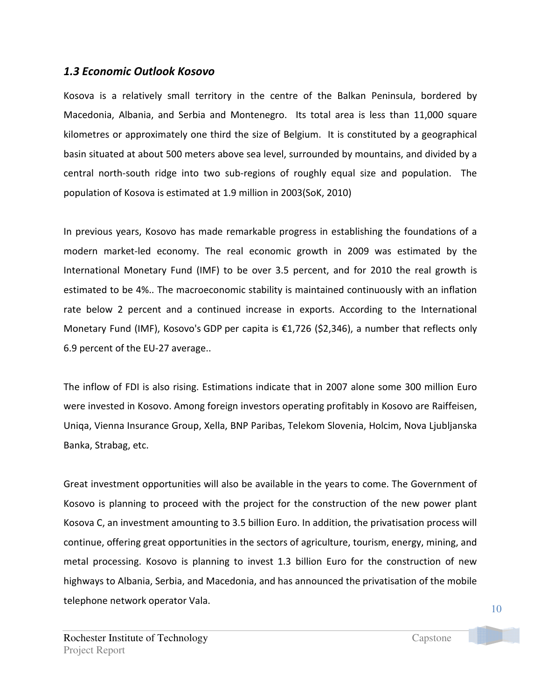### 1.3 Economic Outlook Kosovo

Kosova is a relatively small territory in the centre of the Balkan Peninsula, bordered by Macedonia, Albania, and Serbia and Montenegro. Its total area is less than 11,000 square kilometres or approximately one third the size of Belgium. It is constituted by a geographical basin situated at about 500 meters above sea level, surrounded by mountains, and divided by a central north-south ridge into two sub-regions of roughly equal size and population. The population of Kosova is estimated at 1.9 million in 2003(SoK, 2010)

In previous years, Kosovo has made remarkable progress in establishing the foundations of a modern market-led economy. The real economic growth in 2009 was estimated by the International Monetary Fund (IMF) to be over 3.5 percent, and for 2010 the real growth is estimated to be 4%.. The macroeconomic stability is maintained continuously with an inflation rate below 2 percent and a continued increase in exports. According to the International Monetary Fund (IMF), Kosovo's GDP per capita is  $\epsilon$ 1,726 (\$2,346), a number that reflects only 6.9 percent of the EU-27 average..

The inflow of FDI is also rising. Estimations indicate that in 2007 alone some 300 million Euro were invested in Kosovo. Among foreign investors operating profitably in Kosovo are Raiffeisen, Uniqa, Vienna Insurance Group, Xella, BNP Paribas, Telekom Slovenia, Holcim, Nova Ljubljanska Banka, Strabag, etc.

Great investment opportunities will also be available in the years to come. The Government of Kosovo is planning to proceed with the project for the construction of the new power plant Kosova C, an investment amounting to 3.5 billion Euro. In addition, the privatisation process will continue, offering great opportunities in the sectors of agriculture, tourism, energy, mining, and metal processing. Kosovo is planning to invest 1.3 billion Euro for the construction of new highways to Albania, Serbia, and Macedonia, and has announced the privatisation of the mobile telephone network operator Vala.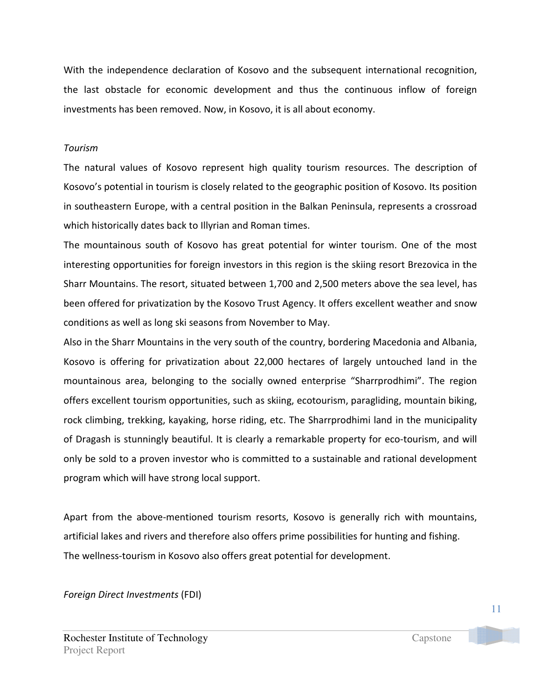With the independence declaration of Kosovo and the subsequent international recognition, the last obstacle for economic development and thus the continuous inflow of foreign investments has been removed. Now, in Kosovo, it is all about economy.

### Tourism

The natural values of Kosovo represent high quality tourism resources. The description of Kosovo's potential in tourism is closely related to the geographic position of Kosovo. Its position in southeastern Europe, with a central position in the Balkan Peninsula, represents a crossroad which historically dates back to Illyrian and Roman times.

The mountainous south of Kosovo has great potential for winter tourism. One of the most interesting opportunities for foreign investors in this region is the skiing resort Brezovica in the Sharr Mountains. The resort, situated between 1,700 and 2,500 meters above the sea level, has been offered for privatization by the Kosovo Trust Agency. It offers excellent weather and snow conditions as well as long ski seasons from November to May.

Also in the Sharr Mountains in the very south of the country, bordering Macedonia and Albania, Kosovo is offering for privatization about 22,000 hectares of largely untouched land in the mountainous area, belonging to the socially owned enterprise "Sharrprodhimi". The region offers excellent tourism opportunities, such as skiing, ecotourism, paragliding, mountain biking, rock climbing, trekking, kayaking, horse riding, etc. The Sharrprodhimi land in the municipality of Dragash is stunningly beautiful. It is clearly a remarkable property for eco-tourism, and will only be sold to a proven investor who is committed to a sustainable and rational development program which will have strong local support.

Apart from the above-mentioned tourism resorts, Kosovo is generally rich with mountains, artificial lakes and rivers and therefore also offers prime possibilities for hunting and fishing. The wellness-tourism in Kosovo also offers great potential for development.

Foreign Direct Investments (FDI)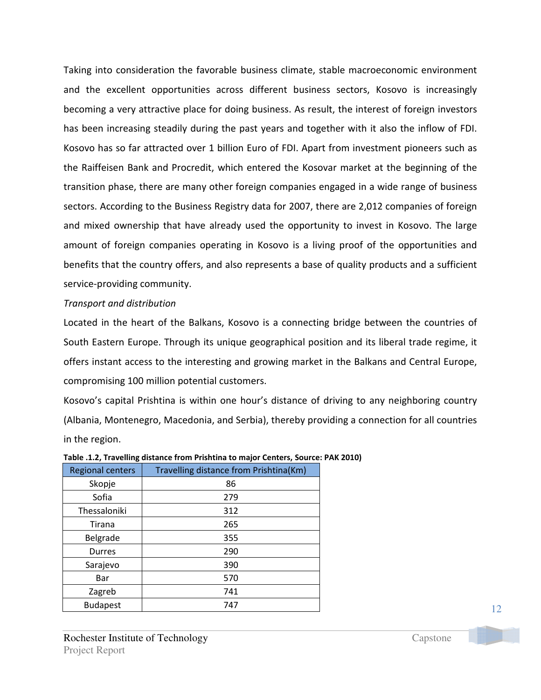Taking into consideration the favorable business climate, stable macroeconomic environment and the excellent opportunities across different business sectors, Kosovo is increasingly becoming a very attractive place for doing business. As result, the interest of foreign investors has been increasing steadily during the past years and together with it also the inflow of FDI. Kosovo has so far attracted over 1 billion Euro of FDI. Apart from investment pioneers such as the Raiffeisen Bank and Procredit, which entered the Kosovar market at the beginning of the transition phase, there are many other foreign companies engaged in a wide range of business sectors. According to the Business Registry data for 2007, there are 2,012 companies of foreign and mixed ownership that have already used the opportunity to invest in Kosovo. The large amount of foreign companies operating in Kosovo is a living proof of the opportunities and benefits that the country offers, and also represents a base of quality products and a sufficient service-providing community.

### Transport and distribution

Located in the heart of the Balkans, Kosovo is a connecting bridge between the countries of South Eastern Europe. Through its unique geographical position and its liberal trade regime, it offers instant access to the interesting and growing market in the Balkans and Central Europe, compromising 100 million potential customers.

Kosovo's capital Prishtina is within one hour's distance of driving to any neighboring country (Albania, Montenegro, Macedonia, and Serbia), thereby providing a connection for all countries in the region.

| <b>Regional centers</b> | Travelling distance from Prishtina(Km) |  |  |
|-------------------------|----------------------------------------|--|--|
| Skopje                  | 86                                     |  |  |
| Sofia                   | 279                                    |  |  |
| Thessaloniki            | 312                                    |  |  |
| Tirana                  | 265                                    |  |  |
| Belgrade                | 355                                    |  |  |
| Durres                  | 290                                    |  |  |
| Sarajevo                | 390                                    |  |  |
| Bar                     | 570                                    |  |  |
| Zagreb                  | 741                                    |  |  |
| <b>Budapest</b>         | 747                                    |  |  |

|  | Table .1.2, Travelling distance from Prishtina to major Centers, Source: PAK 2010) |
|--|------------------------------------------------------------------------------------|
|  |                                                                                    |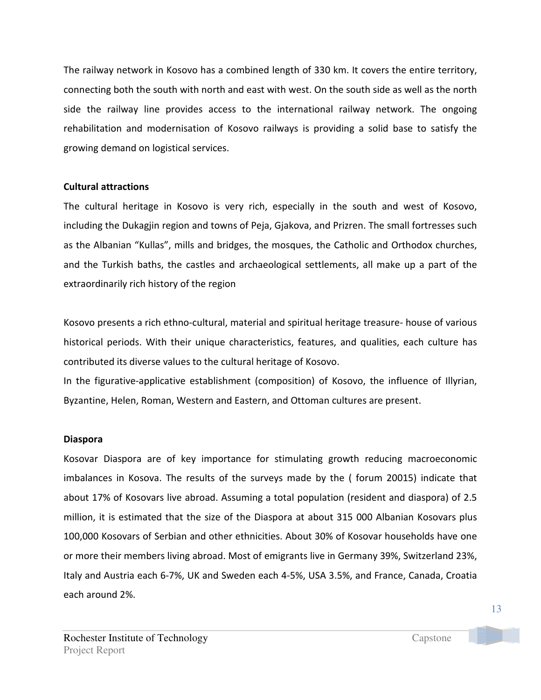The railway network in Kosovo has a combined length of 330 km. It covers the entire territory, connecting both the south with north and east with west. On the south side as well as the north side the railway line provides access to the international railway network. The ongoing rehabilitation and modernisation of Kosovo railways is providing a solid base to satisfy the growing demand on logistical services.

### Cultural attractions

The cultural heritage in Kosovo is very rich, especially in the south and west of Kosovo, including the Dukagjin region and towns of Peja, Gjakova, and Prizren. The small fortresses such as the Albanian "Kullas", mills and bridges, the mosques, the Catholic and Orthodox churches, and the Turkish baths, the castles and archaeological settlements, all make up a part of the extraordinarily rich history of the region

Kosovo presents a rich ethno-cultural, material and spiritual heritage treasure- house of various historical periods. With their unique characteristics, features, and qualities, each culture has contributed its diverse values to the cultural heritage of Kosovo.

In the figurative-applicative establishment (composition) of Kosovo, the influence of Illyrian, Byzantine, Helen, Roman, Western and Eastern, and Ottoman cultures are present.

## Diaspora

Kosovar Diaspora are of key importance for stimulating growth reducing macroeconomic imbalances in Kosova. The results of the surveys made by the ( forum 20015) indicate that about 17% of Kosovars live abroad. Assuming a total population (resident and diaspora) of 2.5 million, it is estimated that the size of the Diaspora at about 315 000 Albanian Kosovars plus 100,000 Kosovars of Serbian and other ethnicities. About 30% of Kosovar households have one or more their members living abroad. Most of emigrants live in Germany 39%, Switzerland 23%, Italy and Austria each 6-7%, UK and Sweden each 4-5%, USA 3.5%, and France, Canada, Croatia each around 2%.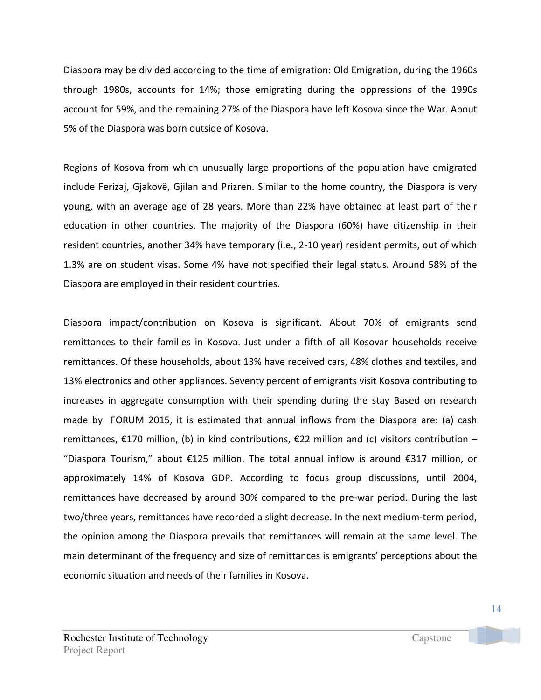Diaspora may be divided according to the time of emigration: Old Emigration, during the 1960s through 1980s, accounts for 14%; those emigrating during the oppressions of the 1990s account for 59%, and the remaining 27% of the Diaspora have left Kosova since the War. About 5% of the Diaspora was born outside of Kosova.

Regions of Kosova from which unusually large proportions of the population have emigrated include Ferizaj, Gjakovë, Gjilan and Prizren. Similar to the home country, the Diaspora is very young, with an average age of 28 years. More than 22% have obtained at least part of their education in other countries. The majority of the Diaspora (60%) have citizenship in their resident countries, another 34% have temporary (i.e., 2-10 year) resident permits, out of which 1.3% are on student visas. Some 4% have not specified their legal status. Around 58% of the Diaspora are employed in their resident countries.

Diaspora impact/contribution on Kosova is significant. About 70% of emigrants send remittances to their families in Kosova. Just under a fifth of all Kosovar households receive remittances. Of these households, about 13% have received cars, 48% clothes and textiles, and 13% electronics and other appliances. Seventy percent of emigrants visit Kosova contributing to increases in aggregate consumption with their spending during the stay Based on research made by FORUM 2015, it is estimated that annual inflows from the Diaspora are: (a) cash remittances,  $\epsilon$ 170 million, (b) in kind contributions,  $\epsilon$ 22 million and (c) visitors contribution – "Diaspora Tourism," about €125 million. The total annual inflow is around €317 million, or approximately 14% of Kosova GDP. According to focus group discussions, until 2004, remittances have decreased by around 30% compared to the pre-war period. During the last two/three years, remittances have recorded a slight decrease. In the next medium-term period, the opinion among the Diaspora prevails that remittances will remain at the same level. The main determinant of the frequency and size of remittances is emigrants' perceptions about the economic situation and needs of their families in Kosova.

14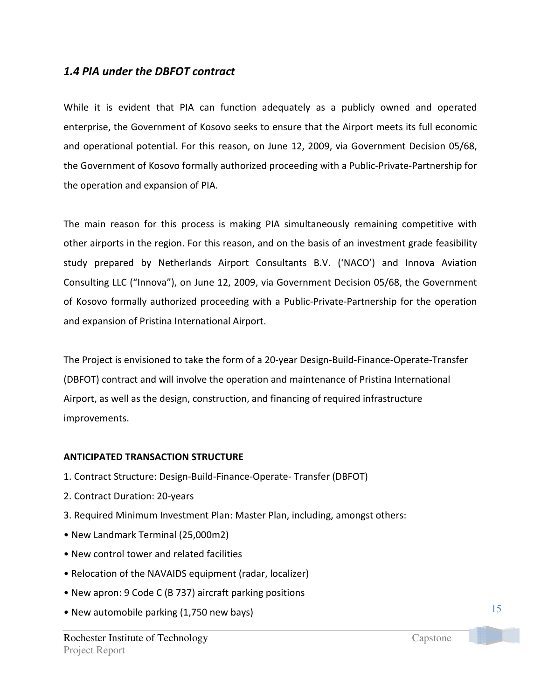## 1.4 PIA under the DBFOT contract

While it is evident that PIA can function adequately as a publicly owned and operated enterprise, the Government of Kosovo seeks to ensure that the Airport meets its full economic and operational potential. For this reason, on June 12, 2009, via Government Decision 05/68, the Government of Kosovo formally authorized proceeding with a Public-Private-Partnership for the operation and expansion of PIA.

The main reason for this process is making PIA simultaneously remaining competitive with other airports in the region. For this reason, and on the basis of an investment grade feasibility study prepared by Netherlands Airport Consultants B.V. ('NACO') and Innova Aviation Consulting LLC ("Innova"), on June 12, 2009, via Government Decision 05/68, the Government of Kosovo formally authorized proceeding with a Public-Private-Partnership for the operation and expansion of Pristina International Airport.

The Project is envisioned to take the form of a 20-year Design-Build-Finance-Operate-Transfer (DBFOT) contract and will involve the operation and maintenance of Pristina International Airport, as well as the design, construction, and financing of required infrastructure improvements.

### ANTICIPATED TRANSACTION STRUCTURE

- 1. Contract Structure: Design-Build-Finance-Operate- Transfer (DBFOT)
- 2. Contract Duration: 20-years
- 3. Required Minimum Investment Plan: Master Plan, including, amongst others:
- New Landmark Terminal (25,000m2)
- New control tower and related facilities
- Relocation of the NAVAIDS equipment (radar, localizer)
- New apron: 9 Code C (B 737) aircraft parking positions
- New automobile parking (1,750 new bays)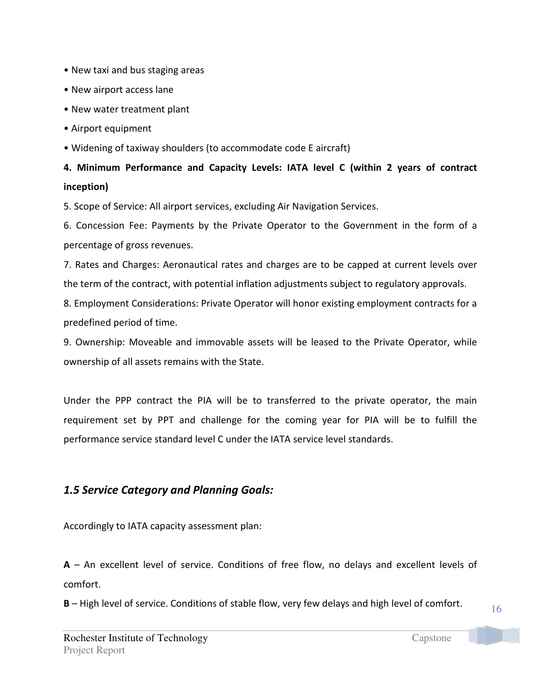- New taxi and bus staging areas
- New airport access lane
- New water treatment plant
- Airport equipment
- Widening of taxiway shoulders (to accommodate code E aircraft)

# 4. Minimum Performance and Capacity Levels: IATA level C (within 2 years of contract inception)

5. Scope of Service: All airport services, excluding Air Navigation Services.

6. Concession Fee: Payments by the Private Operator to the Government in the form of a percentage of gross revenues.

7. Rates and Charges: Aeronautical rates and charges are to be capped at current levels over the term of the contract, with potential inflation adjustments subject to regulatory approvals.

8. Employment Considerations: Private Operator will honor existing employment contracts for a predefined period of time.

9. Ownership: Moveable and immovable assets will be leased to the Private Operator, while ownership of all assets remains with the State.

Under the PPP contract the PIA will be to transferred to the private operator, the main requirement set by PPT and challenge for the coming year for PIA will be to fulfill the performance service standard level C under the IATA service level standards.

## 1.5 Service Category and Planning Goals:

Accordingly to IATA capacity assessment plan:

 $A$  – An excellent level of service. Conditions of free flow, no delays and excellent levels of comfort.

B – High level of service. Conditions of stable flow, very few delays and high level of comfort.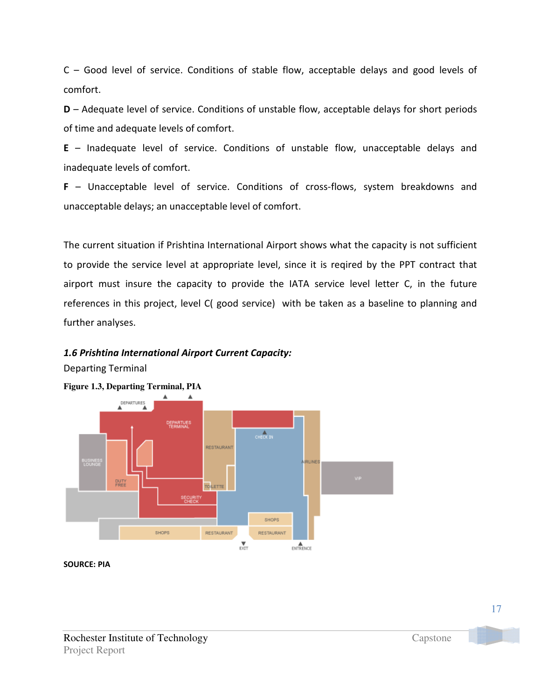C – Good level of service. Conditions of stable flow, acceptable delays and good levels of comfort.

D – Adequate level of service. Conditions of unstable flow, acceptable delays for short periods of time and adequate levels of comfort.

E – Inadequate level of service. Conditions of unstable flow, unacceptable delays and inadequate levels of comfort.

F – Unacceptable level of service. Conditions of cross-flows, system breakdowns and unacceptable delays; an unacceptable level of comfort.

The current situation if Prishtina International Airport shows what the capacity is not sufficient to provide the service level at appropriate level, since it is reqired by the PPT contract that airport must insure the capacity to provide the IATA service level letter C, in the future references in this project, level C( good service) with be taken as a baseline to planning and further analyses.

### 1.6 Prishtina International Airport Current Capacity:

Departing Terminal



**Figure 1.3, Departing Terminal, PIA** 

SOURCE: PIA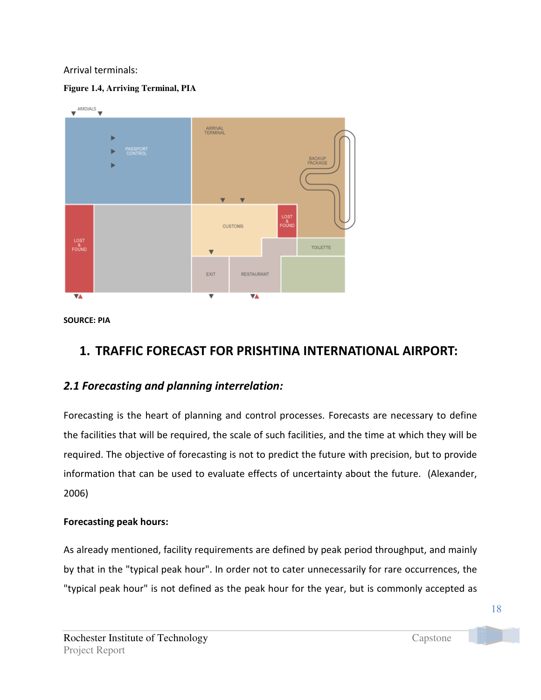### Arrival terminals:

### **Figure 1.4, Arriving Terminal, PIA**



SOURCE: PIA

# 1. TRAFFIC FORECAST FOR PRISHTINA INTERNATIONAL AIRPORT:

## 2.1 Forecasting and planning interrelation:

Forecasting is the heart of planning and control processes. Forecasts are necessary to define the facilities that will be required, the scale of such facilities, and the time at which they will be required. The objective of forecasting is not to predict the future with precision, but to provide information that can be used to evaluate effects of uncertainty about the future. (Alexander, 2006)

## Forecasting peak hours:

As already mentioned, facility requirements are defined by peak period throughput, and mainly by that in the "typical peak hour". In order not to cater unnecessarily for rare occurrences, the "typical peak hour" is not defined as the peak hour for the year, but is commonly accepted as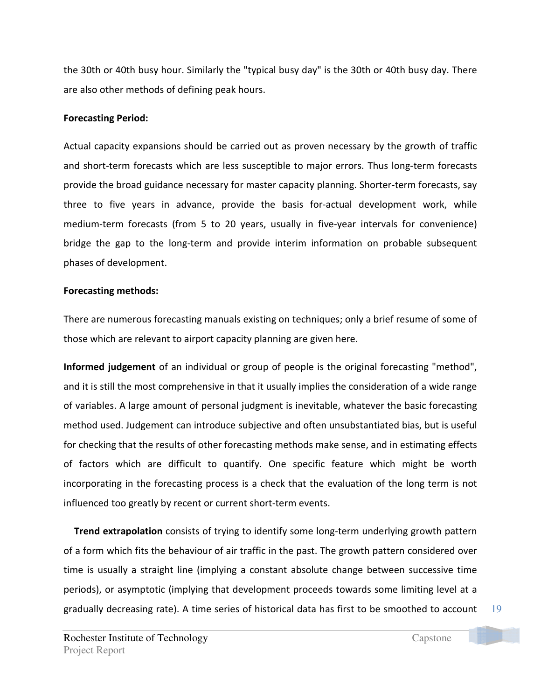the 30th or 40th busy hour. Similarly the "typical busy day" is the 30th or 40th busy day. There are also other methods of defining peak hours.

### Forecasting Period:

Actual capacity expansions should be carried out as proven necessary by the growth of traffic and short-term forecasts which are less susceptible to major errors. Thus long-term forecasts provide the broad guidance necessary for master capacity planning. Shorter-term forecasts, say three to five years in advance, provide the basis for-actual development work, while medium-term forecasts (from 5 to 20 years, usually in five-year intervals for convenience) bridge the gap to the long-term and provide interim information on probable subsequent phases of development.

### Forecasting methods:

There are numerous forecasting manuals existing on techniques; only a brief resume of some of those which are relevant to airport capacity planning are given here.

Informed judgement of an individual or group of people is the original forecasting "method", and it is still the most comprehensive in that it usually implies the consideration of a wide range of variables. A large amount of personal judgment is inevitable, whatever the basic forecasting method used. Judgement can introduce subjective and often unsubstantiated bias, but is useful for checking that the results of other forecasting methods make sense, and in estimating effects of factors which are difficult to quantify. One specific feature which might be worth incorporating in the forecasting process is a check that the evaluation of the long term is not influenced too greatly by recent or current short-term events.

**Trend extrapolation** consists of trying to identify some long-term underlying growth pattern of a form which fits the behaviour of air traffic in the past. The growth pattern considered over time is usually a straight line (implying a constant absolute change between successive time periods), or asymptotic (implying that development proceeds towards some limiting level at a gradually decreasing rate). A time series of historical data has first to be smoothed to account

19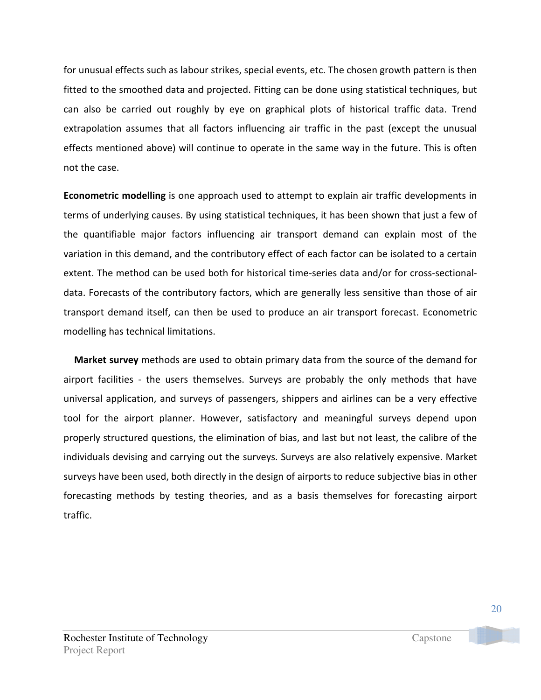for unusual effects such as labour strikes, special events, etc. The chosen growth pattern is then fitted to the smoothed data and projected. Fitting can be done using statistical techniques, but can also be carried out roughly by eye on graphical plots of historical traffic data. Trend extrapolation assumes that all factors influencing air traffic in the past (except the unusual effects mentioned above) will continue to operate in the same way in the future. This is often not the case.

Econometric modelling is one approach used to attempt to explain air traffic developments in terms of underlying causes. By using statistical techniques, it has been shown that just a few of the quantifiable major factors influencing air transport demand can explain most of the variation in this demand, and the contributory effect of each factor can be isolated to a certain extent. The method can be used both for historical time-series data and/or for cross-sectionaldata. Forecasts of the contributory factors, which are generally less sensitive than those of air transport demand itself, can then be used to produce an air transport forecast. Econometric modelling has technical limitations.

Market survey methods are used to obtain primary data from the source of the demand for airport facilities - the users themselves. Surveys are probably the only methods that have universal application, and surveys of passengers, shippers and airlines can be a very effective tool for the airport planner. However, satisfactory and meaningful surveys depend upon properly structured questions, the elimination of bias, and last but not least, the calibre of the individuals devising and carrying out the surveys. Surveys are also relatively expensive. Market surveys have been used, both directly in the design of airports to reduce subjective bias in other forecasting methods by testing theories, and as a basis themselves for forecasting airport traffic.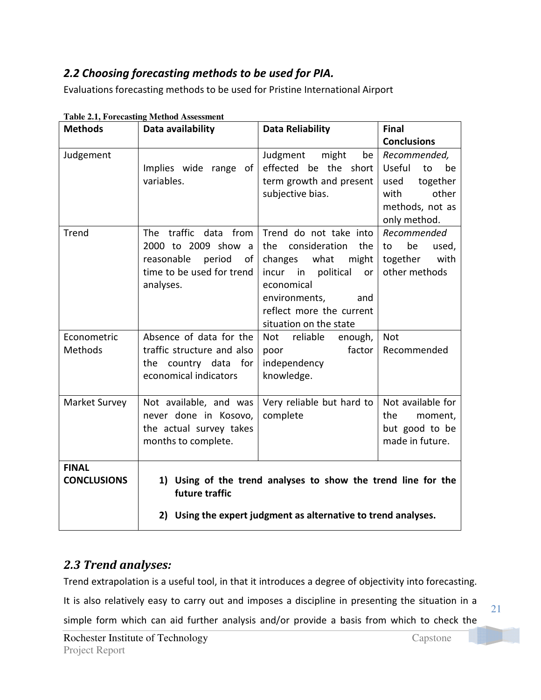# 2.2 Choosing forecasting methods to be used for PIA.

Evaluations forecasting methods to be used for Pristine International Airport

| <b>Methods</b>                     | Data availability                                                                                                       | <b>Data Reliability</b>                                                                                                                                                                                   | <b>Final</b>                                                                                               |
|------------------------------------|-------------------------------------------------------------------------------------------------------------------------|-----------------------------------------------------------------------------------------------------------------------------------------------------------------------------------------------------------|------------------------------------------------------------------------------------------------------------|
|                                    |                                                                                                                         |                                                                                                                                                                                                           | <b>Conclusions</b>                                                                                         |
| Judgement                          | Implies wide range of<br>variables.                                                                                     | Judgment<br>might<br>be<br>effected be the short<br>term growth and present<br>subjective bias.                                                                                                           | Recommended,<br>Useful<br>to<br>be<br>together<br>used<br>with<br>other<br>methods, not as<br>only method. |
| <b>Trend</b>                       | The traffic data from<br>2000 to 2009 show<br>a<br>reasonable<br>period<br>of<br>time to be used for trend<br>analyses. | Trend do not take into<br>consideration<br>the<br>the<br>changes<br>what<br>might<br>incur in political<br>or<br>economical<br>environments,<br>and<br>reflect more the current<br>situation on the state | Recommended<br>be<br>to<br>used,<br>together<br>with<br>other methods                                      |
| Econometric<br>Methods             | Absence of data for the<br>traffic structure and also<br>the<br>country data for<br>economical indicators               | Not reliable<br>enough,<br>factor<br>poor<br>independency<br>knowledge.                                                                                                                                   | <b>Not</b><br>Recommended                                                                                  |
| Market Survey                      | Not available, and was<br>never done in Kosovo,<br>the actual survey takes<br>months to complete.                       | Very reliable but hard to<br>complete                                                                                                                                                                     | Not available for<br>the<br>moment,<br>but good to be<br>made in future.                                   |
| <b>FINAL</b><br><b>CONCLUSIONS</b> | future traffic                                                                                                          | 1) Using of the trend analyses to show the trend line for the<br>2) Using the expert judgment as alternative to trend analyses.                                                                           |                                                                                                            |

| <b>Table 2.1, Forecasting Method Assessment</b> |
|-------------------------------------------------|
|-------------------------------------------------|

# 2.3 Trend analyses:

Trend extrapolation is a useful tool, in that it introduces a degree of objectivity into forecasting.

It is also relatively easy to carry out and imposes a discipline in presenting the situation in a simple form which can aid further analysis and/or provide a basis from which to check the

21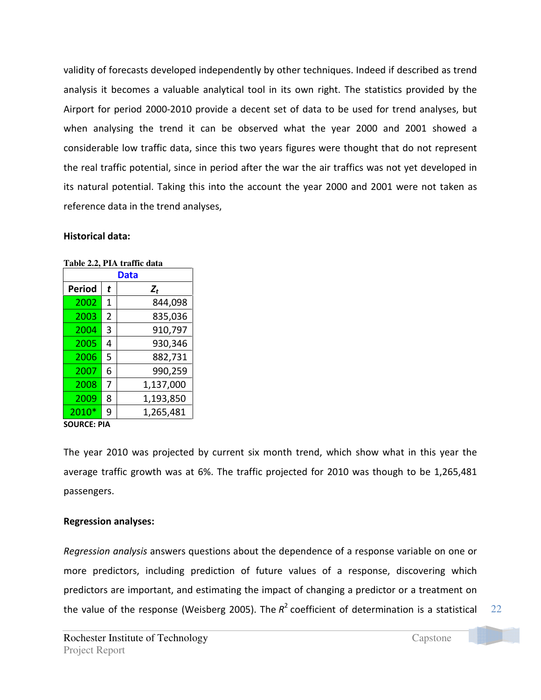validity of forecasts developed independently by other techniques. Indeed if described as trend analysis it becomes a valuable analytical tool in its own right. The statistics provided by the Airport for period 2000-2010 provide a decent set of data to be used for trend analyses, but when analysing the trend it can be observed what the year 2000 and 2001 showed a considerable low traffic data, since this two years figures were thought that do not represent the real traffic potential, since in period after the war the air traffics was not yet developed in its natural potential. Taking this into the account the year 2000 and 2001 were not taken as reference data in the trend analyses,

### Historical data:

| Tabic 4.4, I 1A traint uala<br>Data |   |           |  |
|-------------------------------------|---|-----------|--|
| Period                              | t | $Z_t$     |  |
| 2002                                | 1 | 844,098   |  |
| 2003                                | 2 | 835,036   |  |
| 2004                                | 3 | 910,797   |  |
| 2005                                | 4 | 930,346   |  |
| 2006                                | 5 | 882,731   |  |
| 2007                                | 6 | 990,259   |  |
| 2008                                | 7 | 1,137,000 |  |
| 2009                                | 8 | 1,193,850 |  |
| 2010*                               | 9 | 1,265,481 |  |

**Table 2.2, PIA traffic data** 

### SOURCE: PIA

The year 2010 was projected by current six month trend, which show what in this year the average traffic growth was at 6%. The traffic projected for 2010 was though to be 1,265,481 passengers.

### Regression analyses:

Regression analysis answers questions about the dependence of a response variable on one or more predictors, including prediction of future values of a response, discovering which predictors are important, and estimating the impact of changing a predictor or a treatment on the value of the response (Weisberg 2005). The  $R^2$  coefficient of determination is a statistical

22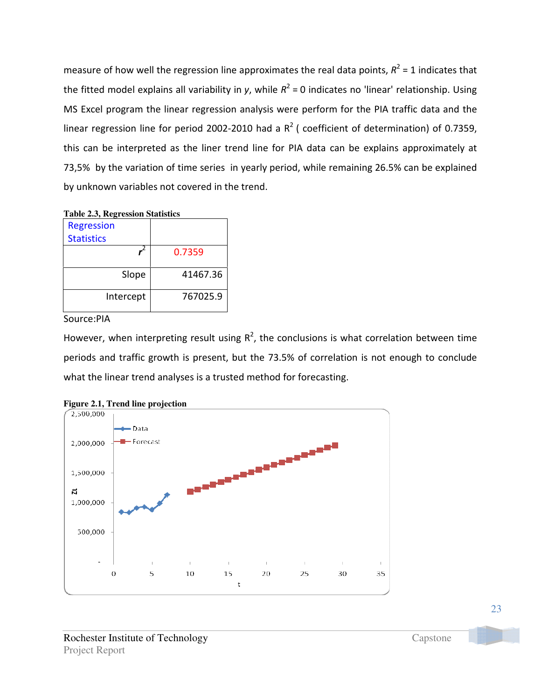measure of how well the regression line approximates the real data points,  $R^2$  = 1 indicates that the fitted model explains all variability in y, while  $R^2$  = 0 indicates no 'linear' relationship. Using MS Excel program the linear regression analysis were perform for the PIA traffic data and the linear regression line for period 2002-2010 had a  $R^2$  (coefficient of determination) of 0.7359, this can be interpreted as the liner trend line for PIA data can be explains approximately at 73,5% by the variation of time series in yearly period, while remaining 26.5% can be explained by unknown variables not covered in the trend.

|--|

| <b>Regression</b> |          |
|-------------------|----------|
| <b>Statistics</b> |          |
|                   | 0.7359   |
| Slope             | 41467.36 |
| Intercept         | 767025.9 |

Source:PIA

However, when interpreting result using  $R^2$ , the conclusions is what correlation between time periods and traffic growth is present, but the 73.5% of correlation is not enough to conclude what the linear trend analyses is a trusted method for forecasting.



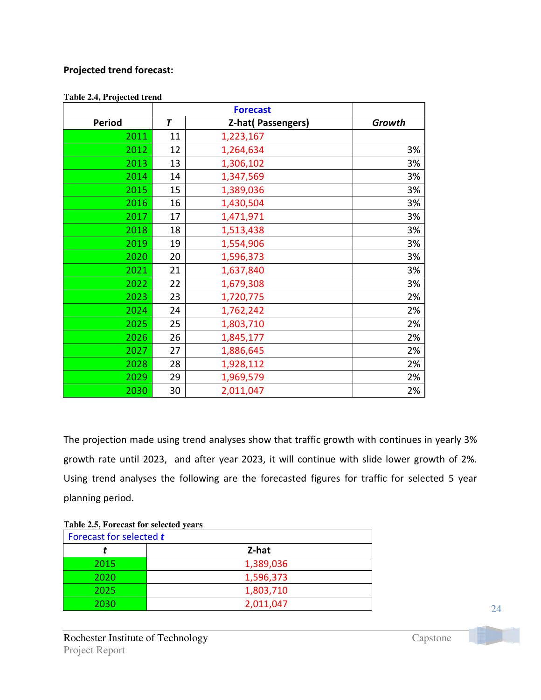### Projected trend forecast:

|               | <b>Forecast</b> |                          |        |
|---------------|-----------------|--------------------------|--------|
| <b>Period</b> | $\overline{I}$  | <b>Z-hat(Passengers)</b> | Growth |
| 2011          | 11              | 1,223,167                |        |
| 2012          | 12              | 1,264,634                | 3%     |
| 2013          | 13              | 1,306,102                | 3%     |
| 2014          | 14              | 1,347,569                | 3%     |
| 2015          | 15              | 1,389,036                | 3%     |
| 2016          | 16              | 1,430,504                | 3%     |
| 2017          | 17              | 1,471,971                | 3%     |
| 2018          | 18              | 1,513,438                | 3%     |
| 2019          | 19              | 1,554,906                | 3%     |
| 2020          | 20              | 1,596,373                | 3%     |
| 2021          | 21              | 1,637,840                | 3%     |
| 2022          | 22              | 1,679,308                | 3%     |
| 2023          | 23              | 1,720,775                | 2%     |
| 2024          | 24              | 1,762,242                | 2%     |
| 2025          | 25              | 1,803,710                | 2%     |
| 2026          | 26              | 1,845,177                | 2%     |
| 2027          | 27              | 1,886,645                | 2%     |
| 2028          | 28              | 1,928,112                | 2%     |
| 2029          | 29              | 1,969,579                | 2%     |
| 2030          | 30              | 2,011,047                | 2%     |

**Table 2.4, Projected trend** 

The projection made using trend analyses show that traffic growth with continues in yearly 3% growth rate until 2023, and after year 2023, it will continue with slide lower growth of 2%. Using trend analyses the following are the forecasted figures for traffic for selected 5 year planning period.

| Table 2.5, Forecast for selected years |
|----------------------------------------|
| Forecast for selected t                |
| Z-hat                                  |
| 1,389,036                              |
| 1,596,373                              |
| 1,803,710                              |
| 2,011,047                              |
|                                        |

**Table 2.5, Forecast for selected years**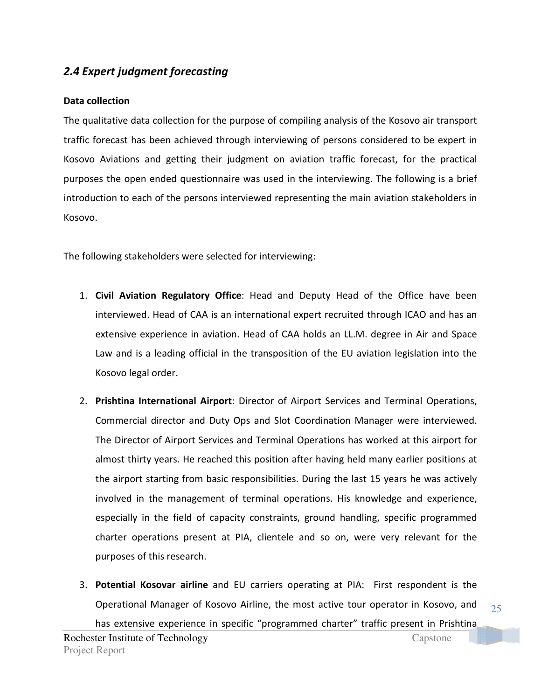## 2.4 Expert judgment forecasting

### Data collection

The qualitative data collection for the purpose of compiling analysis of the Kosovo air transport traffic forecast has been achieved through interviewing of persons considered to be expert in Kosovo Aviations and getting their judgment on aviation traffic forecast, for the practical purposes the open ended questionnaire was used in the interviewing. The following is a brief introduction to each of the persons interviewed representing the main aviation stakeholders in Kosovo.

The following stakeholders were selected for interviewing:

- 1. Civil Aviation Regulatory Office: Head and Deputy Head of the Office have been interviewed. Head of CAA is an international expert recruited through ICAO and has an extensive experience in aviation. Head of CAA holds an LL.M. degree in Air and Space Law and is a leading official in the transposition of the EU aviation legislation into the Kosovo legal order.
- 2. Prishtina International Airport: Director of Airport Services and Terminal Operations, Commercial director and Duty Ops and Slot Coordination Manager were interviewed. The Director of Airport Services and Terminal Operations has worked at this airport for almost thirty years. He reached this position after having held many earlier positions at the airport starting from basic responsibilities. During the last 15 years he was actively involved in the management of terminal operations. His knowledge and experience, especially in the field of capacity constraints, ground handling, specific programmed charter operations present at PIA, clientele and so on, were very relevant for the purposes of this research.
- Rochester Institute of Technology Capstone Project Report 3. Potential Kosovar airline and EU carriers operating at PIA: First respondent is the Operational Manager of Kosovo Airline, the most active tour operator in Kosovo, and has extensive experience in specific "programmed charter" traffic present in Prishtina

25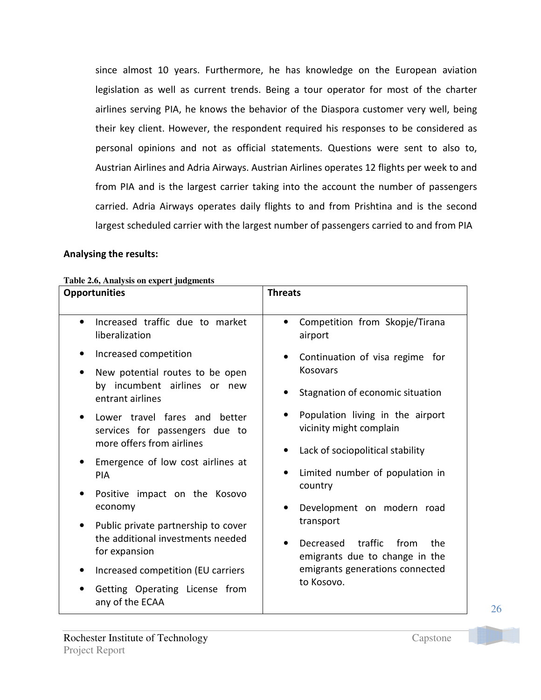since almost 10 years. Furthermore, he has knowledge on the European aviation legislation as well as current trends. Being a tour operator for most of the charter airlines serving PIA, he knows the behavior of the Diaspora customer very well, being their key client. However, the respondent required his responses to be considered as personal opinions and not as official statements. Questions were sent to also to, Austrian Airlines and Adria Airways. Austrian Airlines operates 12 flights per week to and from PIA and is the largest carrier taking into the account the number of passengers carried. Adria Airways operates daily flights to and from Prishtina and is the second largest scheduled carrier with the largest number of passengers carried to and from PIA

### Analysing the results:

| radie 2.0, Analysis on expert judgments<br><b>Opportunities</b>                                                                                                                                                                                                                                                                                                                                                                                                                                                                                                                                        | <b>Threats</b>                                                                                                                                                                                                                                                                                                                                                                                                                                                  |
|--------------------------------------------------------------------------------------------------------------------------------------------------------------------------------------------------------------------------------------------------------------------------------------------------------------------------------------------------------------------------------------------------------------------------------------------------------------------------------------------------------------------------------------------------------------------------------------------------------|-----------------------------------------------------------------------------------------------------------------------------------------------------------------------------------------------------------------------------------------------------------------------------------------------------------------------------------------------------------------------------------------------------------------------------------------------------------------|
| Increased traffic due to market<br>$\bullet$<br>liberalization<br>Increased competition<br>New potential routes to be open<br>٠<br>by incumbent airlines or new<br>entrant airlines<br>Lower travel fares and better<br>$\bullet$<br>services for passengers due to<br>more offers from airlines<br>Emergence of low cost airlines at<br>٠<br><b>PIA</b><br>Positive impact on the Kosovo<br>٠<br>economy<br>Public private partnership to cover<br>٠<br>the additional investments needed<br>for expansion<br>Increased competition (EU carriers<br>Getting Operating License from<br>any of the ECAA | Competition from Skopje/Tirana<br>$\bullet$<br>airport<br>Continuation of visa regime for<br>Kosovars<br>Stagnation of economic situation<br>Population living in the airport<br>vicinity might complain<br>Lack of sociopolitical stability<br>Limited number of population in<br>country<br>Development on modern road<br>transport<br>traffic<br>Decreased<br>from<br>the<br>emigrants due to change in the<br>emigrants generations connected<br>to Kosovo. |

**Table 2.6, Analysis on expert judgments**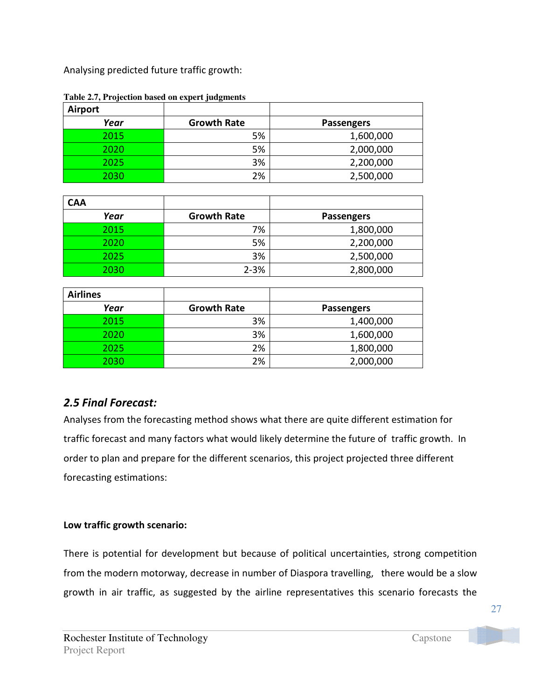Analysing predicted future traffic growth:

| Airport |                    |                   |
|---------|--------------------|-------------------|
| Year    | <b>Growth Rate</b> | <b>Passengers</b> |
| 2015    | 5%                 | 1,600,000         |
| 2020    | 5%                 | 2,000,000         |
| 2025    | 3%                 | 2,200,000         |
| 2030    | 2%                 | 2,500,000         |

**Table 2.7, Projection based on expert judgments** 

| <b>CAA</b> |                    |                   |
|------------|--------------------|-------------------|
| Year       | <b>Growth Rate</b> | <b>Passengers</b> |
| 2015       | 7%                 | 1,800,000         |
| 2020       | 5%                 | 2,200,000         |
| 2025       | 3%                 | 2,500,000         |
| 2030       | $2 - 3%$           | 2,800,000         |

| <b>Airlines</b> |                    |                   |
|-----------------|--------------------|-------------------|
| Year            | <b>Growth Rate</b> | <b>Passengers</b> |
| 2015            | 3%                 | 1,400,000         |
| 2020            | 3%                 | 1,600,000         |
| 2025            | 2%                 | 1,800,000         |
| 2030            | 2%                 | 2,000,000         |

## 2.5 Final Forecast:

Analyses from the forecasting method shows what there are quite different estimation for traffic forecast and many factors what would likely determine the future of traffic growth. In order to plan and prepare for the different scenarios, this project projected three different forecasting estimations:

## Low traffic growth scenario:

There is potential for development but because of political uncertainties, strong competition from the modern motorway, decrease in number of Diaspora travelling, there would be a slow growth in air traffic, as suggested by the airline representatives this scenario forecasts the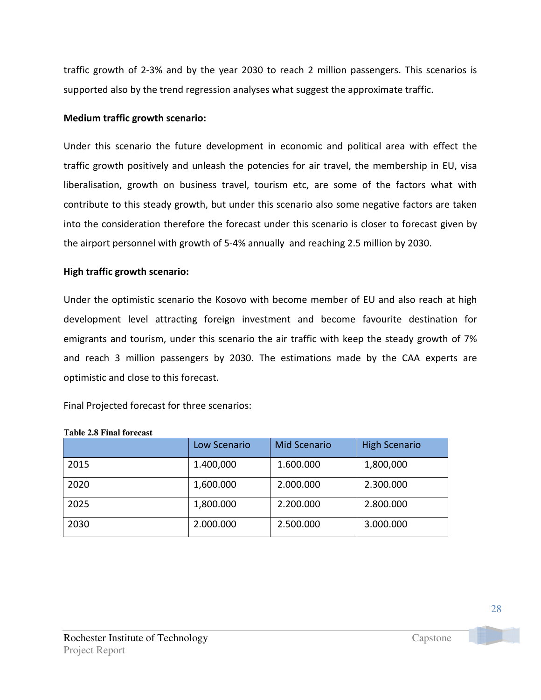traffic growth of 2-3% and by the year 2030 to reach 2 million passengers. This scenarios is supported also by the trend regression analyses what suggest the approximate traffic.

### Medium traffic growth scenario:

Under this scenario the future development in economic and political area with effect the traffic growth positively and unleash the potencies for air travel, the membership in EU, visa liberalisation, growth on business travel, tourism etc, are some of the factors what with contribute to this steady growth, but under this scenario also some negative factors are taken into the consideration therefore the forecast under this scenario is closer to forecast given by the airport personnel with growth of 5-4% annually and reaching 2.5 million by 2030.

### High traffic growth scenario:

Under the optimistic scenario the Kosovo with become member of EU and also reach at high development level attracting foreign investment and become favourite destination for emigrants and tourism, under this scenario the air traffic with keep the steady growth of 7% and reach 3 million passengers by 2030. The estimations made by the CAA experts are optimistic and close to this forecast.

Final Projected forecast for three scenarios:

|      | Low Scenario | <b>Mid Scenario</b> | <b>High Scenario</b> |
|------|--------------|---------------------|----------------------|
| 2015 | 1.400,000    | 1.600.000           | 1,800,000            |
| 2020 | 1,600.000    | 2.000.000           | 2.300.000            |
| 2025 | 1,800.000    | 2.200.000           | 2.800.000            |
| 2030 | 2.000.000    | 2.500.000           | 3.000.000            |

### **Table 2.8 Final forecast**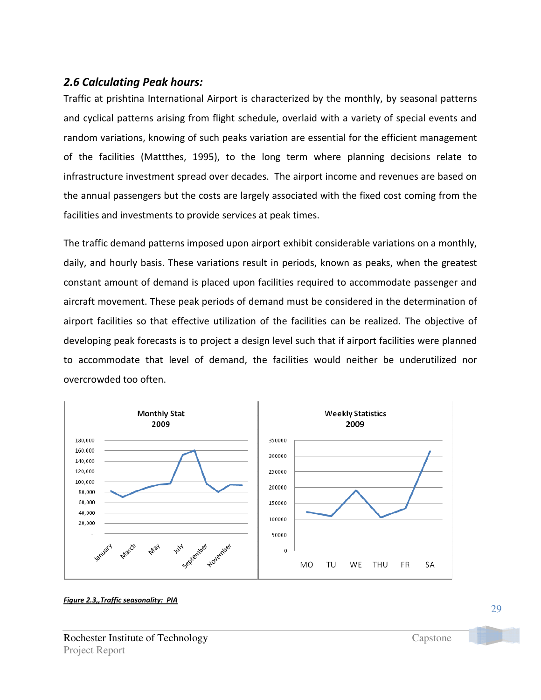## 2.6 Calculating Peak hours:

Traffic at prishtina International Airport is characterized by the monthly, by seasonal patterns and cyclical patterns arising from flight schedule, overlaid with a variety of special events and random variations, knowing of such peaks variation are essential for the efficient management of the facilities (Mattthes, 1995), to the long term where planning decisions relate to infrastructure investment spread over decades. The airport income and revenues are based on the annual passengers but the costs are largely associated with the fixed cost coming from the facilities and investments to provide services at peak times.

The traffic demand patterns imposed upon airport exhibit considerable variations on a monthly, daily, and hourly basis. These variations result in periods, known as peaks, when the greatest constant amount of demand is placed upon facilities required to accommodate passenger and aircraft movement. These peak periods of demand must be considered in the determination of airport facilities so that effective utilization of the facilities can be realized. The objective of developing peak forecasts is to project a design level such that if airport facilities were planned to accommodate that level of demand, the facilities would neither be underutilized nor overcrowded too often.



Figure 2.3,,Traffic seasonality: PIA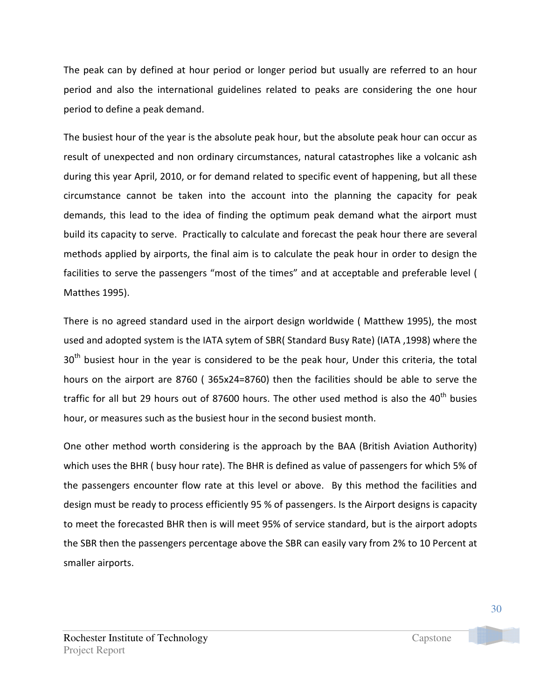The peak can by defined at hour period or longer period but usually are referred to an hour period and also the international guidelines related to peaks are considering the one hour period to define a peak demand.

The busiest hour of the year is the absolute peak hour, but the absolute peak hour can occur as result of unexpected and non ordinary circumstances, natural catastrophes like a volcanic ash during this year April, 2010, or for demand related to specific event of happening, but all these circumstance cannot be taken into the account into the planning the capacity for peak demands, this lead to the idea of finding the optimum peak demand what the airport must build its capacity to serve. Practically to calculate and forecast the peak hour there are several methods applied by airports, the final aim is to calculate the peak hour in order to design the facilities to serve the passengers "most of the times" and at acceptable and preferable level ( Matthes 1995).

There is no agreed standard used in the airport design worldwide ( Matthew 1995), the most used and adopted system is the IATA sytem of SBR( Standard Busy Rate) (IATA ,1998) where the  $30<sup>th</sup>$  busiest hour in the year is considered to be the peak hour, Under this criteria, the total hours on the airport are 8760 ( 365x24=8760) then the facilities should be able to serve the traffic for all but 29 hours out of 87600 hours. The other used method is also the  $40<sup>th</sup>$  busies hour, or measures such as the busiest hour in the second busiest month.

One other method worth considering is the approach by the BAA (British Aviation Authority) which uses the BHR ( busy hour rate). The BHR is defined as value of passengers for which 5% of the passengers encounter flow rate at this level or above. By this method the facilities and design must be ready to process efficiently 95 % of passengers. Is the Airport designs is capacity to meet the forecasted BHR then is will meet 95% of service standard, but is the airport adopts the SBR then the passengers percentage above the SBR can easily vary from 2% to 10 Percent at smaller airports.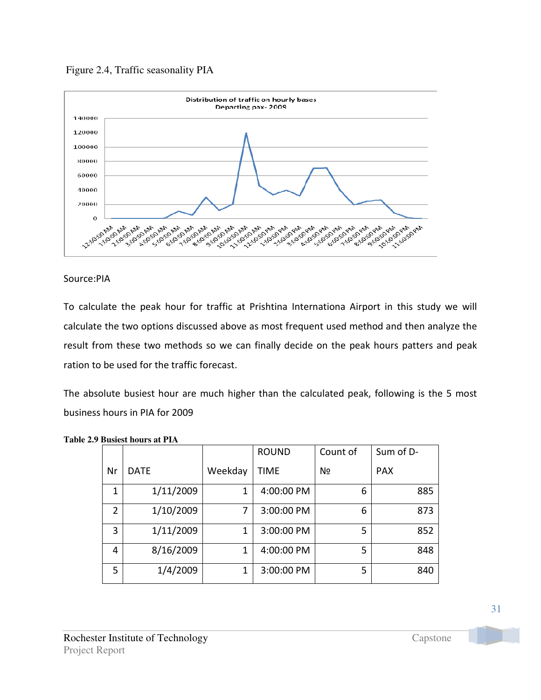



### Source:PIA

To calculate the peak hour for traffic at Prishtina Internationa Airport in this study we will calculate the two options discussed above as most frequent used method and then analyze the result from these two methods so we can finally decide on the peak hours patters and peak ration to be used for the traffic forecast.

The absolute busiest hour are much higher than the calculated peak, following is the 5 most business hours in PIA for 2009

|                |             |         | <b>ROUND</b> | Count of | Sum of D-  |
|----------------|-------------|---------|--------------|----------|------------|
| Nr             | <b>DATE</b> | Weekday | <b>TIME</b>  | N∘       | <b>PAX</b> |
| 1              | 1/11/2009   | 1       | 4:00:00 PM   | 6        | 885        |
| $\overline{2}$ | 1/10/2009   | 7       | 3:00:00 PM   | 6        | 873        |
| 3              | 1/11/2009   | 1       | 3:00:00 PM   | 5        | 852        |
| 4              | 8/16/2009   | 1       | 4:00:00 PM   | 5        | 848        |
| 5              | 1/4/2009    | 1       | 3:00:00 PM   | 5        | 840        |

|  | <b>Table 2.9 Busiest hours at PIA</b> |  |  |  |
|--|---------------------------------------|--|--|--|
|--|---------------------------------------|--|--|--|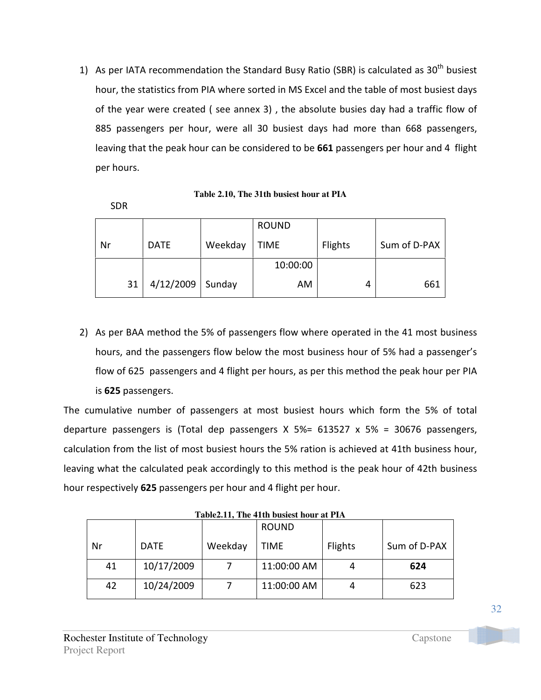1) As per IATA recommendation the Standard Busy Ratio (SBR) is calculated as  $30^{th}$  busiest hour, the statistics from PIA where sorted in MS Excel and the table of most busiest days of the year were created ( see annex 3) , the absolute busies day had a traffic flow of 885 passengers per hour, were all 30 busiest days had more than 668 passengers, leaving that the peak hour can be considered to be 661 passengers per hour and 4 flight per hours.

**Table 2.10, The 31th busiest hour at PIA** 

|    |             |         | <b>ROUND</b> |                |              |
|----|-------------|---------|--------------|----------------|--------------|
| Nr | <b>DATE</b> | Weekday | <b>TIME</b>  | <b>Flights</b> | Sum of D-PAX |
|    |             |         | 10:00:00     |                |              |
| 31 | 4/12/2009   | Sunday  | AM           | 4              | 661          |

2) As per BAA method the 5% of passengers flow where operated in the 41 most business hours, and the passengers flow below the most business hour of 5% had a passenger's flow of 625 passengers and 4 flight per hours, as per this method the peak hour per PIA is 625 passengers.

The cumulative number of passengers at most busiest hours which form the 5% of total departure passengers is (Total dep passengers X 5%= 613527 x 5% = 30676 passengers, calculation from the list of most busiest hours the 5% ration is achieved at 41th business hour, leaving what the calculated peak accordingly to this method is the peak hour of 42th business hour respectively 625 passengers per hour and 4 flight per hour.

**Table2.11, The 41th busiest hour at PIA** 

|    |             |         | <b>ROUND</b> |                |              |
|----|-------------|---------|--------------|----------------|--------------|
| Nr | <b>DATE</b> | Weekday | <b>TIME</b>  | <b>Flights</b> | Sum of D-PAX |
| 41 | 10/17/2009  |         | 11:00:00 AM  |                | 624          |
| 42 | 10/24/2009  |         | 11:00:00 AM  |                | 623          |

SDR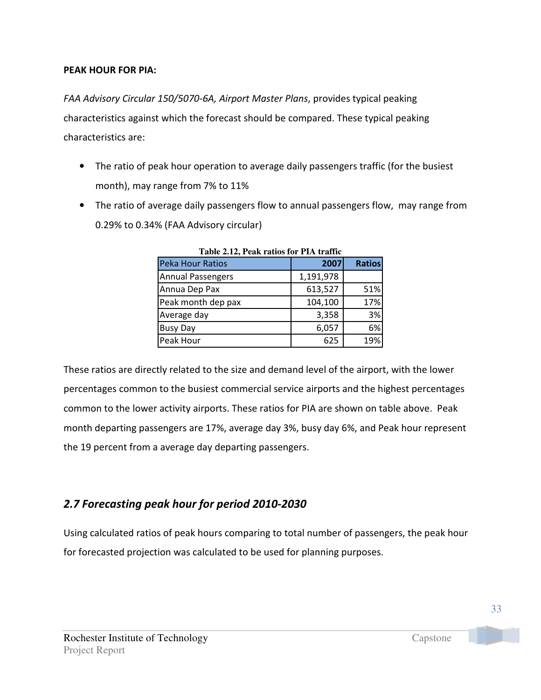### PEAK HOUR FOR PIA:

FAA Advisory Circular 150/5070-6A, Airport Master Plans, provides typical peaking characteristics against which the forecast should be compared. These typical peaking characteristics are:

- The ratio of peak hour operation to average daily passengers traffic (for the busiest month), may range from 7% to 11%
- The ratio of average daily passengers flow to annual passengers flow, may range from 0.29% to 0.34% (FAA Advisory circular)

| Table 2.12, Peak ratios for PIA traffic<br>Peka Hour Ratios |               |  |  |  |  |
|-------------------------------------------------------------|---------------|--|--|--|--|
| 2007                                                        | <b>Ratios</b> |  |  |  |  |
| 1,191,978                                                   |               |  |  |  |  |
| 613,527                                                     | 51%           |  |  |  |  |
| 104,100                                                     | 17%           |  |  |  |  |
| 3,358                                                       | 3%            |  |  |  |  |
| 6,057                                                       | 6%            |  |  |  |  |
| 625                                                         | 19%           |  |  |  |  |
|                                                             |               |  |  |  |  |

**Table 2.12, Peak ratios for PIA traffic** 

These ratios are directly related to the size and demand level of the airport, with the lower percentages common to the busiest commercial service airports and the highest percentages common to the lower activity airports. These ratios for PIA are shown on table above. Peak month departing passengers are 17%, average day 3%, busy day 6%, and Peak hour represent the 19 percent from a average day departing passengers.

## 2.7 Forecasting peak hour for period 2010-2030

Using calculated ratios of peak hours comparing to total number of passengers, the peak hour for forecasted projection was calculated to be used for planning purposes.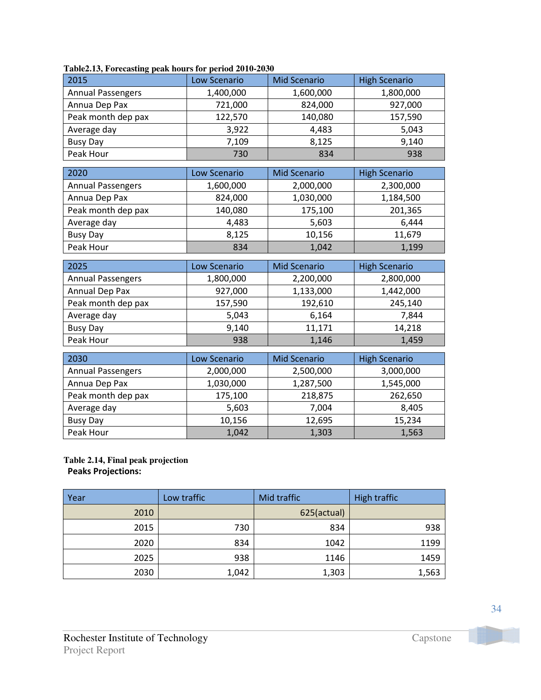| 2015                           | <b>Low Scenario</b> | <b>Mid Scenario</b> | <b>High Scenario</b> |
|--------------------------------|---------------------|---------------------|----------------------|
| <b>Annual Passengers</b>       | 1,400,000           | 1,600,000           | 1,800,000            |
| Annua Dep Pax                  | 721,000             | 824,000             | 927,000              |
| Peak month dep pax             | 122,570             | 140,080             | 157,590              |
| Average day                    | 3,922               | 4,483               | 5,043                |
| <b>Busy Day</b>                | 7,109               | 8,125               | 9,140                |
| Peak Hour                      | 730                 | 834                 | 938                  |
| 2020                           | <b>Low Scenario</b> | <b>Mid Scenario</b> | <b>High Scenario</b> |
| <b>Annual Passengers</b>       | 1,600,000           | 2,000,000           | 2,300,000            |
| Annua Dep Pax                  | 824,000             | 1,030,000           | 1,184,500            |
| Peak month dep pax             | 140,080             | 175,100             | 201,365              |
| Average day                    | 4,483               | 5,603               | 6,444                |
| <b>Busy Day</b>                | 8,125               | 10,156              | 11,679               |
| Peak Hour                      | 834                 | 1,042               | 1,199                |
|                                |                     |                     |                      |
|                                |                     |                     |                      |
| 2025                           | Low Scenario        | <b>Mid Scenario</b> | <b>High Scenario</b> |
| <b>Annual Passengers</b>       | 1,800,000           | 2,200,000           | 2,800,000            |
| Annual Dep Pax                 | 927,000             | 1,133,000           | 1,442,000            |
| Peak month dep pax             | 157,590             | 192,610             | 245,140              |
| Average day                    | 5,043               | 6,164               | 7,844                |
| <b>Busy Day</b>                | 9,140               | 11,171              | 14,218               |
| Peak Hour                      | 938                 | 1,146               | 1,459                |
|                                |                     |                     |                      |
| 2030                           | Low Scenario        | <b>Mid Scenario</b> | <b>High Scenario</b> |
| <b>Annual Passengers</b>       | 2,000,000           | 2,500,000           | 3,000,000            |
| Annua Dep Pax                  | 1,030,000           | 1,287,500           | 1,545,000            |
| Peak month dep pax             | 175,100             | 218,875             | 262,650              |
| Average day<br><b>Busy Day</b> | 5,603<br>10,156     | 7,004<br>12,695     | 8,405<br>15,234      |

# **Table2.13, Forecasting peak hours for period 2010-2030**

### **Table 2.14, Final peak projection**  Peaks Projections:

| Year | Low traffic | Mid traffic | High traffic |
|------|-------------|-------------|--------------|
| 2010 |             | 625(actual) |              |
| 2015 | 730         | 834         | 938          |
| 2020 | 834         | 1042        | 1199         |
| 2025 | 938         | 1146        | 1459         |
| 2030 | 1,042       | 1,303       | 1,563        |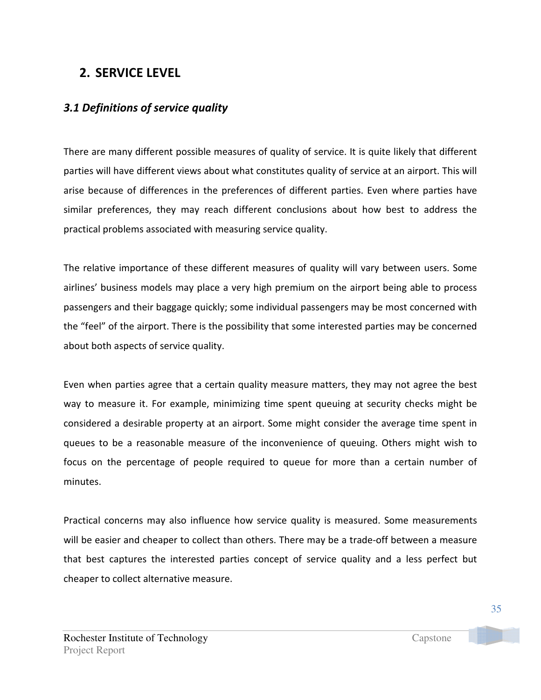## 2. SERVICE LEVEL

## 3.1 Definitions of service quality

There are many different possible measures of quality of service. It is quite likely that different parties will have different views about what constitutes quality of service at an airport. This will arise because of differences in the preferences of different parties. Even where parties have similar preferences, they may reach different conclusions about how best to address the practical problems associated with measuring service quality.

The relative importance of these different measures of quality will vary between users. Some airlines' business models may place a very high premium on the airport being able to process passengers and their baggage quickly; some individual passengers may be most concerned with the "feel" of the airport. There is the possibility that some interested parties may be concerned about both aspects of service quality.

Even when parties agree that a certain quality measure matters, they may not agree the best way to measure it. For example, minimizing time spent queuing at security checks might be considered a desirable property at an airport. Some might consider the average time spent in queues to be a reasonable measure of the inconvenience of queuing. Others might wish to focus on the percentage of people required to queue for more than a certain number of minutes.

Practical concerns may also influence how service quality is measured. Some measurements will be easier and cheaper to collect than others. There may be a trade-off between a measure that best captures the interested parties concept of service quality and a less perfect but cheaper to collect alternative measure.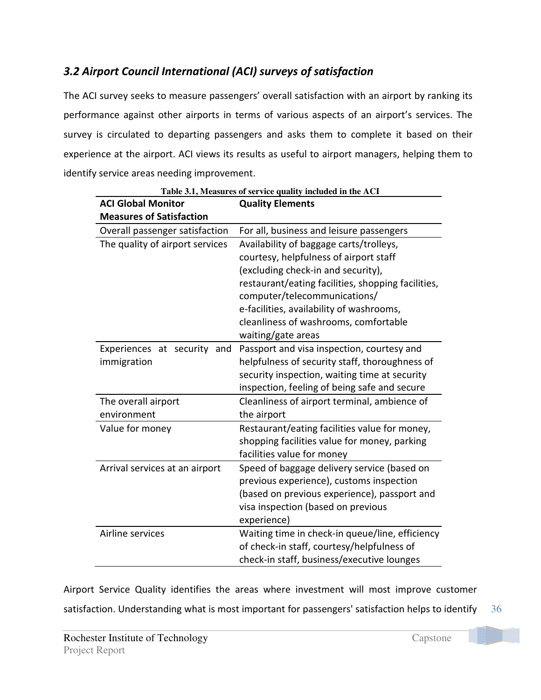# 3.2 Airport Council International (ACI) surveys of satisfaction

The ACI survey seeks to measure passengers' overall satisfaction with an airport by ranking its performance against other airports in terms of various aspects of an airport's services. The survey is circulated to departing passengers and asks them to complete it based on their experience at the airport. ACI views its results as useful to airport managers, helping them to identify service areas needing improvement.

| <b>ACI Global Monitor</b>                  | <b>Quality Elements</b>                                                                                                                                                                                                                                                                                                  |
|--------------------------------------------|--------------------------------------------------------------------------------------------------------------------------------------------------------------------------------------------------------------------------------------------------------------------------------------------------------------------------|
| <b>Measures of Satisfaction</b>            |                                                                                                                                                                                                                                                                                                                          |
| Overall passenger satisfaction             | For all, business and leisure passengers                                                                                                                                                                                                                                                                                 |
| The quality of airport services            | Availability of baggage carts/trolleys,<br>courtesy, helpfulness of airport staff<br>(excluding check-in and security),<br>restaurant/eating facilities, shopping facilities,<br>computer/telecommunications/<br>e-facilities, availability of washrooms,<br>cleanliness of washrooms, comfortable<br>waiting/gate areas |
| Experiences at security and<br>immigration | Passport and visa inspection, courtesy and<br>helpfulness of security staff, thoroughness of<br>security inspection, waiting time at security<br>inspection, feeling of being safe and secure                                                                                                                            |
| The overall airport<br>environment         | Cleanliness of airport terminal, ambience of<br>the airport                                                                                                                                                                                                                                                              |
| Value for money                            | Restaurant/eating facilities value for money,<br>shopping facilities value for money, parking<br>facilities value for money                                                                                                                                                                                              |
| Arrival services at an airport             | Speed of baggage delivery service (based on<br>previous experience), customs inspection<br>(based on previous experience), passport and<br>visa inspection (based on previous<br>experience)                                                                                                                             |
| Airline services                           | Waiting time in check-in queue/line, efficiency<br>of check-in staff, courtesy/helpfulness of<br>check-in staff, business/executive lounges                                                                                                                                                                              |

**Table 3.1, Measures of service quality included in the ACI** 

36 Airport Service Quality identifies the areas where investment will most improve customer satisfaction. Understanding what is most important for passengers' satisfaction helps to identify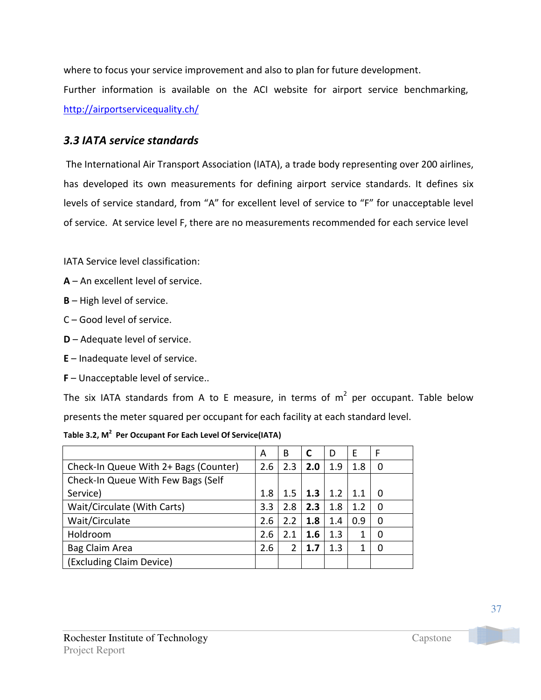where to focus your service improvement and also to plan for future development. Further information is available on the ACI website for airport service benchmarking, http://airportservicequality.ch/

## 3.3 IATA service standards

 The International Air Transport Association (IATA), a trade body representing over 200 airlines, has developed its own measurements for defining airport service standards. It defines six levels of service standard, from "A" for excellent level of service to "F" for unacceptable level of service. At service level F, there are no measurements recommended for each service level

IATA Service level classification:

- A An excellent level of service.
- B High level of service.
- C Good level of service.
- D Adequate level of service.
- E Inadequate level of service.
- F Unacceptable level of service..

The six IATA standards from A to E measure, in terms of  $m^2$  per occupant. Table below presents the meter squared per occupant for each facility at each standard level.

|  | Table 3.2, M <sup>2</sup> Per Occupant For Each Level Of Service(IATA) |
|--|------------------------------------------------------------------------|
|--|------------------------------------------------------------------------|

|                                       | А   | B   | C   | D           | F      | -F |
|---------------------------------------|-----|-----|-----|-------------|--------|----|
| Check-In Queue With 2+ Bags (Counter) | 2.6 | 2.3 | 2.0 | 1.9         | 1.8    |    |
| Check-In Queue With Few Bags (Self    |     |     |     |             |        |    |
| Service)                              | 1.8 | 1.5 | 1.3 | $\vert$ 1.2 | $-1.1$ |    |
| Wait/Circulate (With Carts)           | 3.3 | 2.8 | 2.3 | 1.8         | 1.2    |    |
| Wait/Circulate                        | 2.6 | 2.2 | 1.8 | 1.4         | 0.9    |    |
| Holdroom                              | 2.6 | 2.1 | 1.6 | 1.3         |        |    |
| Bag Claim Area                        | 2.6 |     | 1.7 | 1.3         |        |    |
| (Excluding Claim Device)              |     |     |     |             |        |    |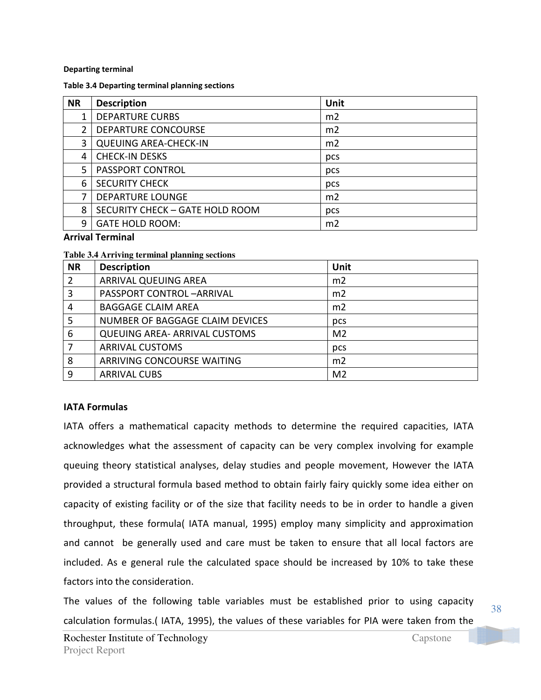### Departing terminal

#### Table 3.4 Departing terminal planning sections

| <b>NR</b> | <b>Description</b>              | Unit           |
|-----------|---------------------------------|----------------|
|           | <b>DEPARTURE CURBS</b>          | m <sub>2</sub> |
|           | DEPARTURE CONCOURSE             | m <sub>2</sub> |
| 3         | <b>QUEUING AREA-CHECK-IN</b>    | m2             |
| 4         | <b>CHECK-IN DESKS</b>           | pcs            |
| 5.        | <b>PASSPORT CONTROL</b>         | pcs            |
| 6         | <b>SECURITY CHECK</b>           | pcs            |
| 7         | <b>DEPARTURE LOUNGE</b>         | m <sub>2</sub> |
| 8         | SECURITY CHECK - GATE HOLD ROOM | pcs            |
| 9         | <b>GATE HOLD ROOM:</b>          | m <sub>2</sub> |

### Arrival Terminal

### **Table 3.4 Arriving terminal planning sections**

| <b>NR</b> | <b>Description</b>                   | Unit           |
|-----------|--------------------------------------|----------------|
| 2         | ARRIVAL QUEUING AREA                 | m2             |
| 3         | <b>PASSPORT CONTROL-ARRIVAL</b>      | m <sub>2</sub> |
| 4         | <b>BAGGAGE CLAIM AREA</b>            | m2             |
| 5         | NUMBER OF BAGGAGE CLAIM DEVICES      | pcs            |
| 6         | <b>QUEUING AREA- ARRIVAL CUSTOMS</b> | M <sub>2</sub> |
|           | <b>ARRIVAL CUSTOMS</b>               | pcs            |
| 8         | ARRIVING CONCOURSE WAITING           | m <sub>2</sub> |
| 9         | <b>ARRIVAL CUBS</b>                  | M <sub>2</sub> |

### IATA Formulas

IATA offers a mathematical capacity methods to determine the required capacities, IATA acknowledges what the assessment of capacity can be very complex involving for example queuing theory statistical analyses, delay studies and people movement, However the IATA provided a structural formula based method to obtain fairly fairy quickly some idea either on capacity of existing facility or of the size that facility needs to be in order to handle a given throughput, these formula( IATA manual, 1995) employ many simplicity and approximation and cannot be generally used and care must be taken to ensure that all local factors are included. As e general rule the calculated space should be increased by 10% to take these factors into the consideration.

The values of the following table variables must be established prior to using capacity calculation formulas.( IATA, 1995), the values of these variables for PIA were taken from the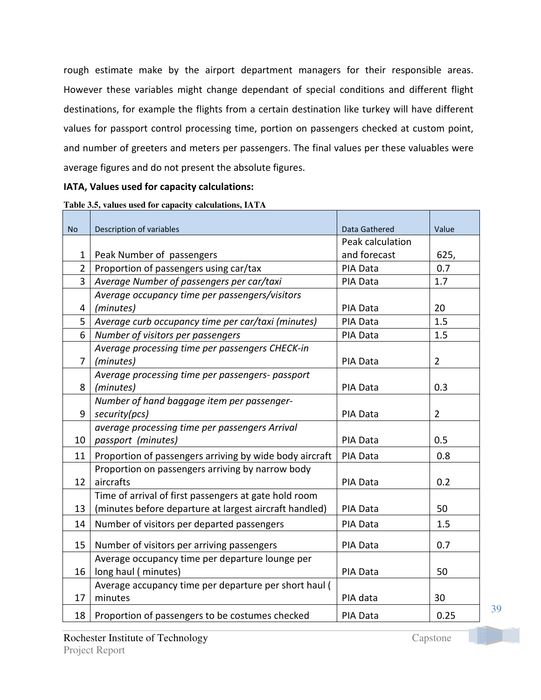rough estimate make by the airport department managers for their responsible areas. However these variables might change dependant of special conditions and different flight destinations, for example the flights from a certain destination like turkey will have different values for passport control processing time, portion on passengers checked at custom point, and number of greeters and meters per passengers. The final values per these valuables were average figures and do not present the absolute figures.

### IATA, Values used for capacity calculations:

| Table 3.5, values used for capacity calculations, IATA |  |  |  |  |
|--------------------------------------------------------|--|--|--|--|
|--------------------------------------------------------|--|--|--|--|

| <b>No</b>      | Description of variables                                | Data Gathered    | Value          |
|----------------|---------------------------------------------------------|------------------|----------------|
|                |                                                         | Peak calculation |                |
| 1              | Peak Number of passengers                               | and forecast     | 625,           |
| $\overline{2}$ | Proportion of passengers using car/tax                  | PIA Data         | 0.7            |
| $\overline{3}$ | Average Number of passengers per car/taxi               | PIA Data         | 1.7            |
|                | Average occupancy time per passengers/visitors          |                  |                |
| 4              | (minutes)                                               | PIA Data         | 20             |
| 5              | Average curb occupancy time per car/taxi (minutes)      | PIA Data         | 1.5            |
| 6              | Number of visitors per passengers                       | PIA Data         | 1.5            |
|                | Average processing time per passengers CHECK-in         |                  |                |
| $\overline{7}$ | (minutes)                                               | PIA Data         | $\overline{2}$ |
|                | Average processing time per passengers- passport        |                  |                |
| 8              | (minutes)                                               | PIA Data         | 0.3            |
|                | Number of hand baggage item per passenger-              |                  |                |
| 9              | security(pcs)                                           | PIA Data         | $\overline{2}$ |
|                | average processing time per passengers Arrival          |                  |                |
| 10             | passport (minutes)                                      | PIA Data         | 0.5            |
| 11             | Proportion of passengers arriving by wide body aircraft | PIA Data         | 0.8            |
|                | Proportion on passengers arriving by narrow body        |                  |                |
| 12             | aircrafts                                               | PIA Data         | 0.2            |
|                | Time of arrival of first passengers at gate hold room   |                  |                |
| 13             | (minutes before departure at largest aircraft handled)  | PIA Data         | 50             |
| 14             | Number of visitors per departed passengers              | PIA Data         | 1.5            |
| 15             | Number of visitors per arriving passengers              | PIA Data         | 0.7            |
|                | Average occupancy time per departure lounge per         |                  |                |
| 16             | long haul (minutes)                                     | PIA Data         | 50             |
|                | Average accupancy time per departure per short haul (   |                  |                |
| 17             | minutes                                                 | PIA data         | 30             |
| 18             | Proportion of passengers to be costumes checked         | <b>PIA Data</b>  | 0.25           |

39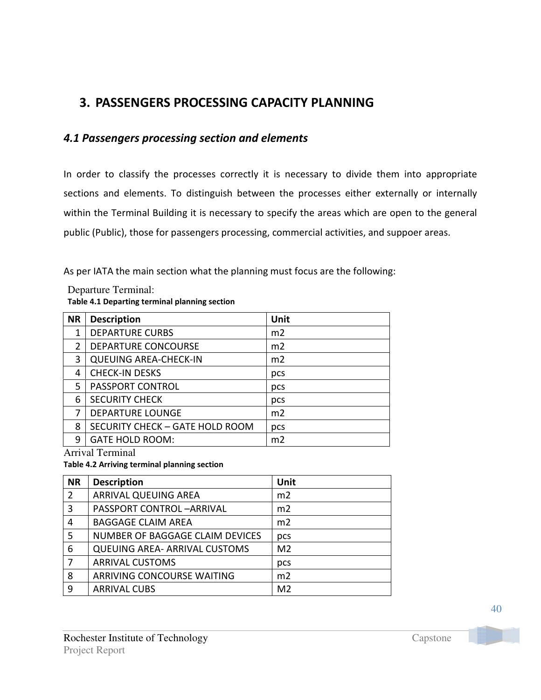# 3. PASSENGERS PROCESSING CAPACITY PLANNING

## 4.1 Passengers processing section and elements

In order to classify the processes correctly it is necessary to divide them into appropriate sections and elements. To distinguish between the processes either externally or internally within the Terminal Building it is necessary to specify the areas which are open to the general public (Public), those for passengers processing, commercial activities, and suppoer areas.

As per IATA the main section what the planning must focus are the following:

| Departure Terminal:                           |
|-----------------------------------------------|
| Table 4.1 Departing terminal planning section |

| <b>NR</b>     | <b>Description</b>              | Unit           |
|---------------|---------------------------------|----------------|
| 1             | <b>DEPARTURE CURBS</b>          | m2             |
| $\mathcal{P}$ | DEPARTURE CONCOURSE             | m2             |
| 3             | <b>QUEUING AREA-CHECK-IN</b>    | m <sub>2</sub> |
| 4             | <b>CHECK-IN DESKS</b>           | pcs            |
| 5             | <b>PASSPORT CONTROL</b>         | pcs            |
| 6             | <b>SECURITY CHECK</b>           | pcs            |
| 7             | <b>DEPARTURE LOUNGE</b>         | m2             |
| 8             | SECURITY CHECK - GATE HOLD ROOM | pcs            |
| q             | <b>GATE HOLD ROOM:</b>          | m <sub>2</sub> |

Arrival Terminal

Table 4.2 Arriving terminal planning section

| <b>NR</b> | <b>Description</b>                   | Unit           |
|-----------|--------------------------------------|----------------|
| 2         | ARRIVAL QUEUING AREA                 | m <sub>2</sub> |
| 3         | PASSPORT CONTROL-ARRIVAL             | m2             |
| 4         | <b>BAGGAGE CLAIM AREA</b>            | m <sub>2</sub> |
| 5         | NUMBER OF BAGGAGE CLAIM DEVICES      | pcs            |
| 6         | <b>QUEUING AREA- ARRIVAL CUSTOMS</b> | M <sub>2</sub> |
|           | <b>ARRIVAL CUSTOMS</b>               | pcs            |
| 8         | ARRIVING CONCOURSE WAITING           | m <sub>2</sub> |
| 9         | <b>ARRIVAL CUBS</b>                  | M <sub>2</sub> |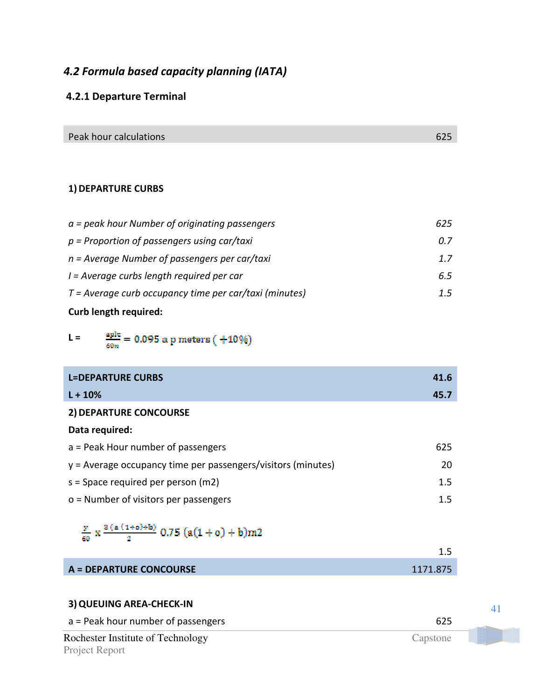## 4.2 Formula based capacity planning (IATA)

## 4.2.1 Departure Terminal

Peak hour calculations and the contract of the contract of the contract of the contract of the contract of the contract of the contract of the contract of the contract of the contract of the contract of the contract of the

### 1) DEPARTURE CURBS

| <b>Curb length required:</b>                             |     |
|----------------------------------------------------------|-----|
| $T = Average$ curb occupancy time per car/taxi (minutes) | 1.5 |
| I = Average curbs length required per car                | 6.5 |
| $n = Average$ Number of passengers per car/taxi          | 1.7 |
| $p =$ Proportion of passengers using car/taxi            | 0.7 |
| $a = peak$ hour Number of originating passengers         | 625 |

 $\frac{\text{aplt}}{60n} = 0.095$ a p<br/> meters ( $+10\%)$  $L =$ 

| <b>L=DEPARTURE CURBS</b>                                       | 41.6 |
|----------------------------------------------------------------|------|
| $L + 10%$                                                      | 45.7 |
| 2) DEPARTURE CONCOURSE                                         |      |
| Data required:                                                 |      |
| $a =$ Peak Hour number of passengers                           | 625  |
| $y =$ Average occupancy time per passengers/visitors (minutes) | 20   |
| $s =$ Space required per person (m2)                           | 1.5  |
| $o$ = Number of visitors per passengers                        | 1.5  |

# $\frac{y}{60}$  x  $\frac{3(a(1+o)+b)}{2}$  0.75  $(a(1+o)+b)m2$

| <b>A = DEPARTURE CONCOURSE</b> | 1171.875 |
|--------------------------------|----------|

| 3) QUEUING AREA-CHECK-IN           |          |  |
|------------------------------------|----------|--|
| a = Peak hour number of passengers | 625      |  |
| Rochester Institute of Technology  | Capstone |  |
| Project Report                     |          |  |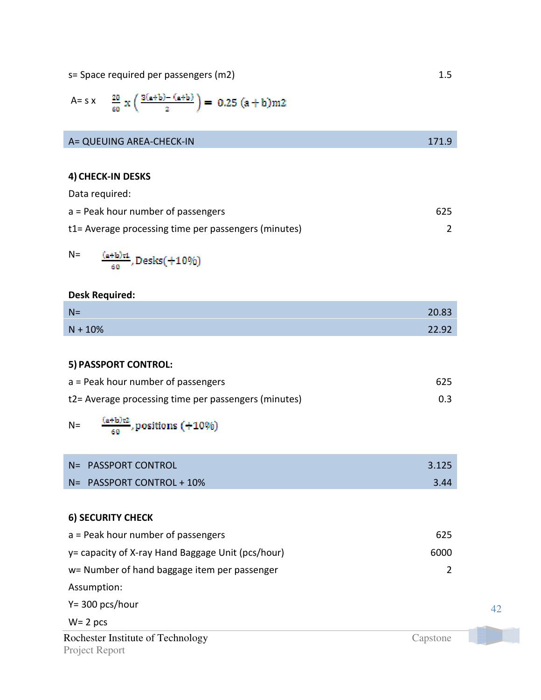s= Space required per passengers (m2) 1.5

A= s x 
$$
\frac{20}{60}
$$
 x  $\left(\frac{3(a+b)-(a+b)}{2}\right)$  = 0.25  $(a+b)$ m2

| A= QUEUING AREA-CHECK-IN | 171.9 |
|--------------------------|-------|

### 4) CHECK-IN DESKS

Data required:

| $a =$ Peak hour number of passengers                 | 625 |
|------------------------------------------------------|-----|
| t1= Average processing time per passengers (minutes) |     |

$$
\frac{\frac{(a+b)\tau1}{60}}{,0\text{ }D\text{ }e\text{ }s\text{ }k\text{s}}(+10\%)
$$

### Desk Required:

 $N=$ 

| $N =$     | 20.83 |
|-----------|-------|
| $N + 10%$ | 22.92 |

### 5) PASSPORT CONTROL:

| $a =$ Peak hour number of passengers                 | 625 |
|------------------------------------------------------|-----|
| t2= Average processing time per passengers (minutes) | 0.3 |

 $\frac{\left(a+b\right)\mathfrak{r}\mathfrak{2}}{60}$  , positions (+10%)  $N=$ 

| N= PASSPORT CONTROL       | 3.125 |
|---------------------------|-------|
| N= PASSPORT CONTROL + 10% | 3.44  |

### 6) SECURITY CHECK

| $a =$ Peak hour number of passengers               | 625           |
|----------------------------------------------------|---------------|
| y = capacity of X-ray Hand Baggage Unit (pcs/hour) | 6000          |
| w= Number of hand baggage item per passenger       | $\mathcal{P}$ |
| Assumption:                                        |               |
| $Y = 300$ pcs/hour                                 |               |

$$
W = 2 \, \text{pcs}
$$

Rochester Institute of Technology Capstone Project Report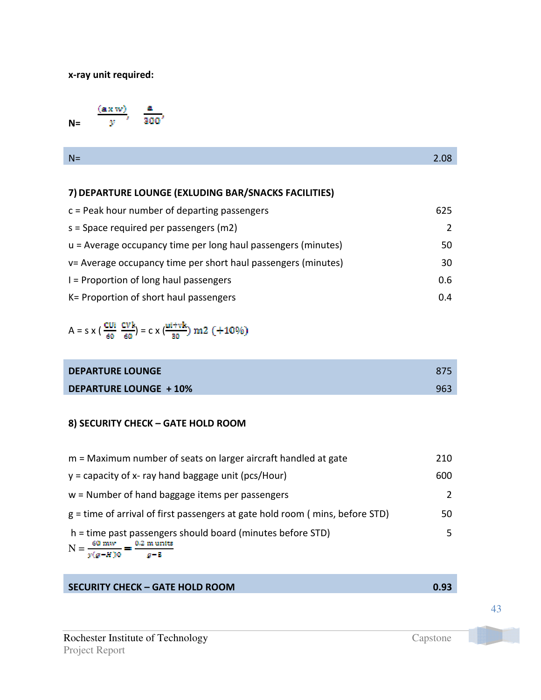### x-ray unit required:

 $\frac{a}{300}$  $(axw)$  $\overline{y}$  $N=$ 

| N |  |
|---|--|
|   |  |

## 7)DEPARTURE LOUNGE (EXLUDING BAR/SNACKS FACILITIES)

| $c =$ Peak hour number of departing passengers                  | 625 |
|-----------------------------------------------------------------|-----|
| $s =$ Space required per passengers (m2)                        | 2   |
| $u =$ Average occupancy time per long haul passengers (minutes) | 50  |
| v= Average occupancy time per short haul passengers (minutes)   | 30  |
| $I =$ Proportion of long haul passengers                        | 0.6 |
| K = Proportion of short haul passengers                         | 0.4 |

A = s x (
$$
\frac{cu_i}{60}
$$
  $\frac{cv_k}{60}$ ) = c x ( $\frac{u_i + vk}{30}$ ) m2 (+10%)

| <b>DEPARTURE LOUNGE</b>       | 875 |
|-------------------------------|-----|
| <b>DEPARTURE LOUNGE + 10%</b> | 963 |

### 8) SECURITY CHECK – GATE HOLD ROOM

| m = Maximum number of seats on larger aircraft handled at gate                                                                      | 210 |
|-------------------------------------------------------------------------------------------------------------------------------------|-----|
| $y =$ capacity of x- ray hand baggage unit (pcs/Hour)                                                                               | 600 |
| w = Number of hand baggage items per passengers                                                                                     | 2   |
| $g =$ time of arrival of first passengers at gate hold room (mins, before STD)                                                      | 50  |
| h = time past passengers should board (minutes before STD)<br>$N = \frac{60 \text{ mw}}{y(g-H)0} = \frac{0.2 \text{ m units}}{g-5}$ | 5.  |

## SECURITY CHECK – GATE HOLD ROOM **0.93**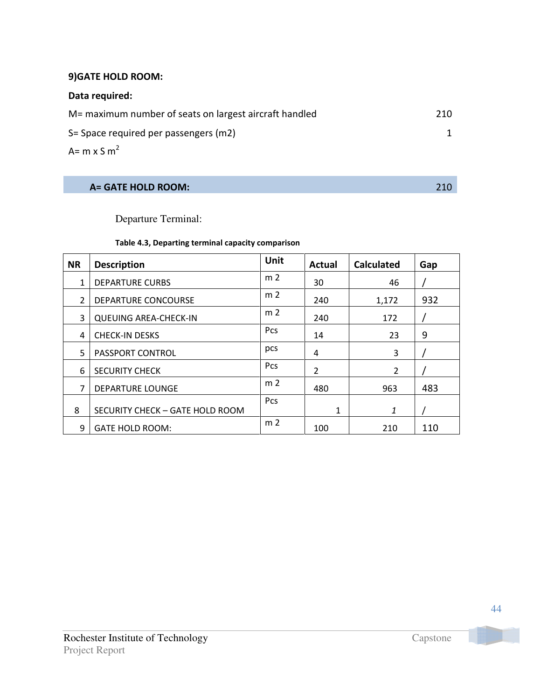## 9)GATE HOLD ROOM:

### Data required:

| M= maximum number of seats on largest aircraft handled | 210 |
|--------------------------------------------------------|-----|
| S= Space required per passengers (m2)                  |     |
| A= m x S $m^2$                                         |     |

## A= GATE HOLD ROOM: 210

## Departure Terminal:

### Table 4.3, Departing terminal capacity comparison

| <b>NR</b>      | <b>Description</b>              | <b>Unit</b>    | <b>Actual</b> | <b>Calculated</b> | Gap |
|----------------|---------------------------------|----------------|---------------|-------------------|-----|
| 1              | <b>DEPARTURE CURBS</b>          | m <sub>2</sub> | 30            | 46                |     |
| $\overline{2}$ | <b>DEPARTURE CONCOURSE</b>      | m <sub>2</sub> | 240           | 1,172             | 932 |
| 3              | <b>QUEUING AREA-CHECK-IN</b>    | m <sub>2</sub> | 240           | 172               |     |
| 4              | <b>CHECK-IN DESKS</b>           | Pcs            | 14            | 23                | 9   |
| 5              | PASSPORT CONTROL                | pcs            | 4             | 3                 |     |
| 6              | <b>SECURITY CHECK</b>           | <b>Pcs</b>     | 2             | $\overline{2}$    |     |
| 7              | <b>DEPARTURE LOUNGE</b>         | m <sub>2</sub> | 480           | 963               | 483 |
| 8              | SECURITY CHECK - GATE HOLD ROOM | Pcs            | $\mathbf{1}$  | 1                 |     |
| 9              | <b>GATE HOLD ROOM:</b>          | m <sub>2</sub> | 100           | 210               | 110 |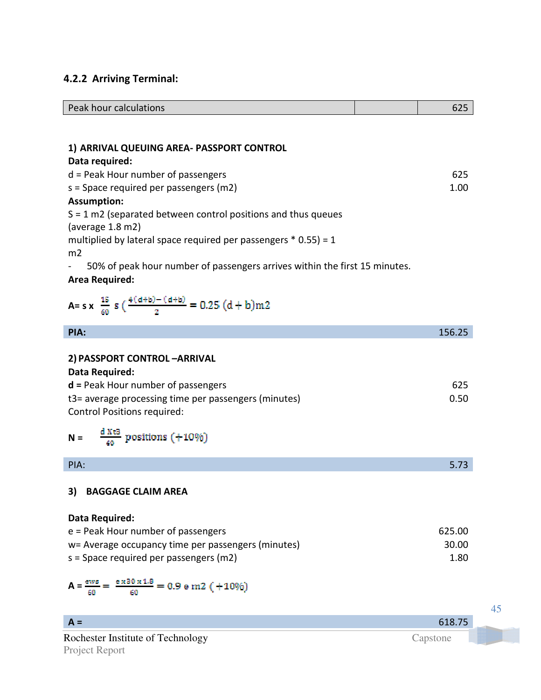## 4.2.2 Arriving Terminal:

| Peak hour calculations                                                          | 625    |
|---------------------------------------------------------------------------------|--------|
|                                                                                 |        |
|                                                                                 |        |
| 1) ARRIVAL QUEUING AREA- PASSPORT CONTROL                                       |        |
| Data required:                                                                  |        |
| $d$ = Peak Hour number of passengers                                            | 625    |
| $s =$ Space required per passengers (m2)                                        | 1.00   |
| <b>Assumption:</b>                                                              |        |
| $S = 1$ m2 (separated between control positions and thus queues                 |        |
| (average $1.8 \text{ m2}$ )                                                     |        |
| multiplied by lateral space required per passengers $*$ 0.55) = 1               |        |
| m2                                                                              |        |
| 50% of peak hour number of passengers arrives within the first 15 minutes.      |        |
| <b>Area Required:</b>                                                           |        |
|                                                                                 |        |
| A= s x $\frac{15}{60}$ s $\left(\frac{4(d+b)-(d+b)}{2}\right)$ = 0.25 $(d+b)m2$ |        |
|                                                                                 |        |
| PIA:                                                                            | 156.25 |

| 2) PASSPORT CONTROL-ARRIVAL                          |        |
|------------------------------------------------------|--------|
| Data Required:                                       |        |
| $d$ = Peak Hour number of passengers                 | 625    |
| t3= average processing time per passengers (minutes) | 0.50   |
| <b>Control Positions required:</b>                   |        |
| $\frac{d X t}{60}$<br>positions (+10%)<br>$N =$      |        |
| PIA:                                                 | 5.73   |
| <b>BAGGAGE CLAIM AREA</b><br>3)                      |        |
| Data Required:                                       |        |
| $e$ = Peak Hour number of passengers                 | 625.00 |
| w= Average occupancy time per passengers (minutes)   | 30.00  |
| $s =$ Space required per passengers (m2)             | 1.80   |

$$
A = \frac{ews}{60} = \frac{e \times 30 \times 1.8}{60} = 0.9 \text{ e m2 } (+10\%)
$$

| $A =$                             | 618.75   |  |
|-----------------------------------|----------|--|
| Rochester Institute of Technology | Capstone |  |
| Project Report                    |          |  |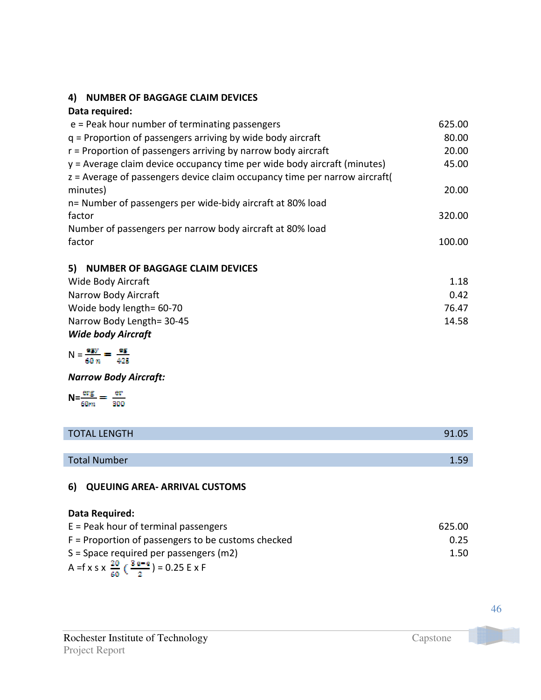## 4)NUMBER OF BAGGAGE CLAIM DEVICES

### Data required:

| 625.00 |
|--------|
| 80.00  |
| 20.00  |
| 45.00  |
|        |
| 20.00  |
|        |
| 320.00 |
|        |
| 100.00 |
|        |

### 5)NUMBER OF BAGGAGE CLAIM DEVICES

| Wide Body Aircraft        | 1.18  |
|---------------------------|-------|
| Narrow Body Aircraft      | 0.42  |
| Woide body length= 60-70  | 76.47 |
| Narrow Body Length= 30-45 | 14.58 |
| <b>Wide body Aircraft</b> |       |

$$
N = \frac{egy}{60 n} = \frac{eg}{425}
$$

Narrow Body Aircraft:

$$
N = \frac{\text{erg}}{60m} = \frac{\text{er}}{300}
$$

| <b>TOTAL LENGTH</b> | 91.05 |
|---------------------|-------|
|                     |       |
| <b>Total Number</b> | .59   |

## 6)QUEUING AREA- ARRIVAL CUSTOMS

### Data Required:

| $E =$ Peak hour of terminal passengers                        | 625.00 |
|---------------------------------------------------------------|--------|
| $F =$ Proportion of passengers to be customs checked          | 0.25   |
| $S =$ Space required per passengers (m2)                      | 1.50   |
| A = f x s x $\frac{20}{60}$ ( $\frac{3e-e}{2}$ ) = 0.25 E x F |        |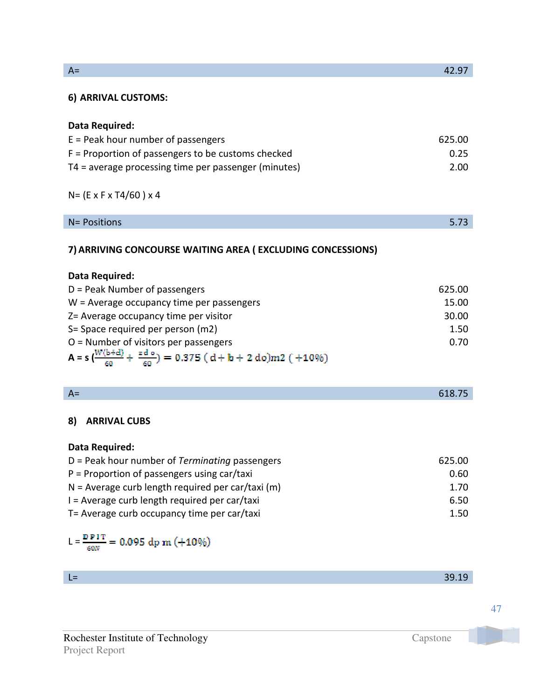| A= | 42.97 |
|----|-------|
|----|-------|

### 6)ARRIVAL CUSTOMS:

### Data Required:

| $E =$ Peak hour number of passengers                   | 625.00 |
|--------------------------------------------------------|--------|
| $F =$ Proportion of passengers to be customs checked   | 0.25   |
| $T4$ = average processing time per passenger (minutes) | 2.00   |

## N= (E x F x T4/60 ) x 4

| N= Positions |  |  |
|--------------|--|--|
|--------------|--|--|

## 7)ARRIVING CONCOURSE WAITING AREA ( EXCLUDING CONCESSIONS)

| Data Required:                                                                              |        |
|---------------------------------------------------------------------------------------------|--------|
| $D =$ Peak Number of passengers                                                             | 625.00 |
| $W =$ Average occupancy time per passengers                                                 | 15.00  |
| Z= Average occupancy time per visitor                                                       | 30.00  |
| S= Space required per person (m2)                                                           | 1.50   |
| $O =$ Number of visitors per passengers                                                     | 0.70   |
| A = $s\left(\frac{W(b+d)}{60} + \frac{z d \theta}{60}\right)$ = 0.375 (d+b + 2 do)m2 (+10%) |        |

| . .<br>-- |  | <b>STATE</b><br>$\mathcal{L}^{\text{max}}_{\text{max}}$ and $\mathcal{L}^{\text{max}}_{\text{max}}$ and $\mathcal{L}^{\text{max}}_{\text{max}}$ |
|-----------|--|-------------------------------------------------------------------------------------------------------------------------------------------------|
|           |  |                                                                                                                                                 |

### 8)ARRIVAL CUBS

### Data Required:

| $D =$ Peak hour number of Terminating passengers    | 625.00 |
|-----------------------------------------------------|--------|
| $P =$ Proportion of passengers using car/taxi       | 0.60   |
| $N =$ Average curb length required per car/taxi (m) | 1.70   |
| $I =$ Average curb length required per car/taxi     | 6.50   |
| T= Average curb occupancy time per car/taxi         | 1.50   |

$$
L = \frac{D \ P 1 \ T}{60N} = 0.095 \ dp \ m \ (+10\%)
$$

| -<br>-<br>- |  |
|-------------|--|
|             |  |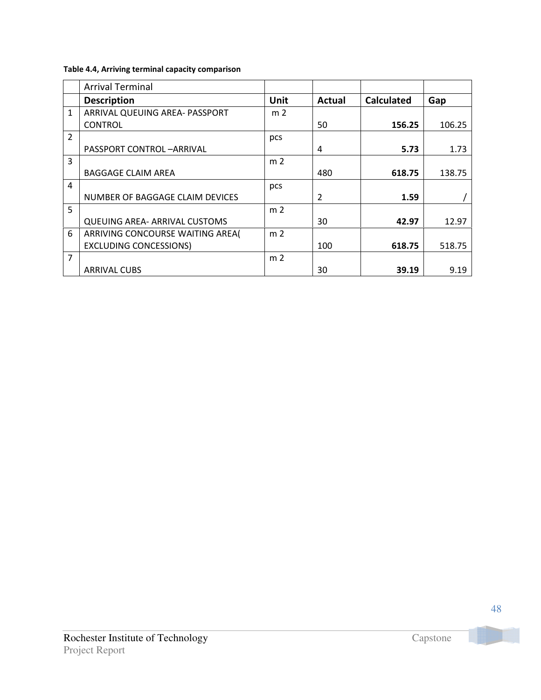### Table 4.4, Arriving terminal capacity comparison

|                | <b>Arrival Terminal</b>              |                |               |                   |        |
|----------------|--------------------------------------|----------------|---------------|-------------------|--------|
|                | <b>Description</b>                   | <b>Unit</b>    | <b>Actual</b> | <b>Calculated</b> | Gap    |
| $\mathbf{1}$   | ARRIVAL QUEUING AREA- PASSPORT       | m <sub>2</sub> |               |                   |        |
|                | <b>CONTROL</b>                       |                | 50            | 156.25            | 106.25 |
| $\overline{2}$ |                                      | pcs            |               |                   |        |
|                | PASSPORT CONTROL-ARRIVAL             |                | 4             | 5.73              | 1.73   |
| 3              |                                      | m <sub>2</sub> |               |                   |        |
|                | <b>BAGGAGE CLAIM AREA</b>            |                | 480           | 618.75            | 138.75 |
| $\overline{4}$ |                                      | pcs            |               |                   |        |
|                | NUMBER OF BAGGAGE CLAIM DEVICES      |                | 2             | 1.59              |        |
| 5              |                                      | m <sub>2</sub> |               |                   |        |
|                | <b>QUEUING AREA- ARRIVAL CUSTOMS</b> |                | 30            | 42.97             | 12.97  |
| 6              | ARRIVING CONCOURSE WAITING AREA(     | m <sub>2</sub> |               |                   |        |
|                | <b>EXCLUDING CONCESSIONS)</b>        |                | 100           | 618.75            | 518.75 |
| $\overline{7}$ |                                      | m <sub>2</sub> |               |                   |        |
|                | <b>ARRIVAL CUBS</b>                  |                | 30            | 39.19             | 9.19   |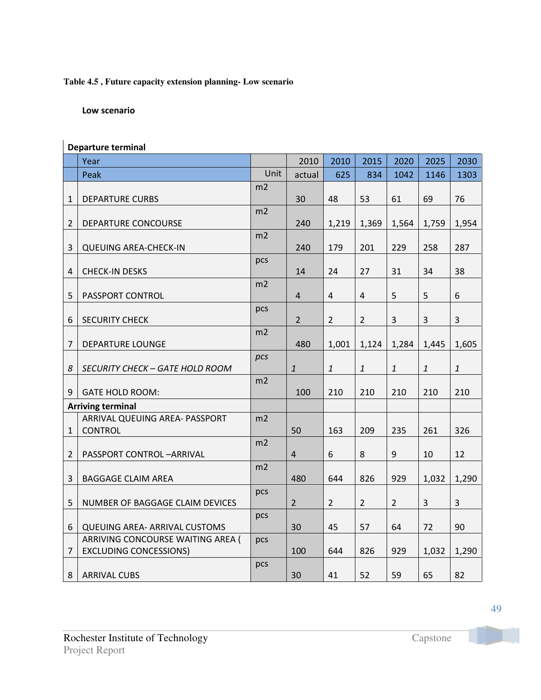### **Table 4.5 , Future capacity extension planning- Low scenario**

### Low scenario

|                | <b>Departure terminal</b>                                                 |                |                |                |                |                |              |              |
|----------------|---------------------------------------------------------------------------|----------------|----------------|----------------|----------------|----------------|--------------|--------------|
|                | Year                                                                      |                | 2010           | 2010           | 2015           | 2020           | 2025         | 2030         |
|                | Peak                                                                      | Unit           | actual         | 625            | 834            | 1042           | 1146         | 1303         |
|                |                                                                           | m2             |                |                |                |                |              |              |
| $\mathbf{1}$   | <b>DEPARTURE CURBS</b>                                                    |                | 30             | 48             | 53             | 61             | 69           | 76           |
|                |                                                                           | m2             |                |                |                |                |              |              |
| $\overline{2}$ | DEPARTURE CONCOURSE                                                       |                | 240            | 1,219          | 1,369          | 1,564          | 1,759        | 1,954        |
|                |                                                                           | m2             |                |                |                |                |              |              |
| $\overline{3}$ | <b>QUEUING AREA-CHECK-IN</b>                                              |                | 240            | 179            | 201            | 229            | 258          | 287          |
| $\sqrt{4}$     | <b>CHECK-IN DESKS</b>                                                     | pcs            | 14             | 24             | 27             | 31             | 34           | 38           |
|                |                                                                           | m2             |                |                |                |                |              |              |
| 5              | PASSPORT CONTROL                                                          |                | $\overline{4}$ | $\overline{4}$ | 4              | 5              | 5            | 6            |
|                |                                                                           | pcs            |                |                |                |                |              |              |
| 6              | <b>SECURITY CHECK</b>                                                     |                | $2^{\circ}$    | $\overline{2}$ | $\overline{2}$ | 3              | 3            | 3            |
|                |                                                                           | m <sub>2</sub> |                |                |                |                |              |              |
| 7              | <b>DEPARTURE LOUNGE</b>                                                   |                | 480            | 1,001          | 1,124          | 1,284          | 1,445        | 1,605        |
|                |                                                                           | pcs            |                |                |                |                |              |              |
| 8              | <b>SECURITY CHECK - GATE HOLD ROOM</b>                                    |                | $\mathbf{1}$   | $\mathbf{1}$   | $\it 1$        | $\mathbf{1}$   | $\mathbf{1}$ | $\mathbf{1}$ |
| 9              | <b>GATE HOLD ROOM:</b>                                                    | m2             | 100            | 210            | 210            | 210            | 210          | 210          |
|                | <b>Arriving terminal</b>                                                  |                |                |                |                |                |              |              |
|                | ARRIVAL QUEUING AREA- PASSPORT                                            | m <sub>2</sub> |                |                |                |                |              |              |
| 1              | <b>CONTROL</b>                                                            |                | 50             | 163            | 209            | 235            | 261          | 326          |
|                |                                                                           | m2             |                |                |                |                |              |              |
| 2              | PASSPORT CONTROL-ARRIVAL                                                  |                | $\overline{4}$ | 6              | 8              | 9              | 10           | 12           |
|                |                                                                           | m2             |                |                |                |                |              |              |
| 3              | <b>BAGGAGE CLAIM AREA</b>                                                 |                | 480            | 644            | 826            | 929            | 1,032        | 1,290        |
|                |                                                                           | pcs            |                |                |                |                |              |              |
| 5              | NUMBER OF BAGGAGE CLAIM DEVICES                                           |                | $2^{\circ}$    | $\overline{2}$ | $\mathbf{2}$   | $\overline{2}$ | 3            | 3            |
|                |                                                                           | pcs            |                |                |                |                |              |              |
| 6              | <b>QUEUING AREA- ARRIVAL CUSTOMS</b><br>ARRIVING CONCOURSE WAITING AREA ( |                | 30             | 45             | 57             | 64             | 72           | 90           |
| $\overline{7}$ | <b>EXCLUDING CONCESSIONS)</b>                                             | pcs            | 100            | 644            | 826            | 929            | 1,032        | 1,290        |
|                |                                                                           | pcs            |                |                |                |                |              |              |
| 8              | <b>ARRIVAL CUBS</b>                                                       |                | 30             | 41             | 52             | 59             | 65           | 82           |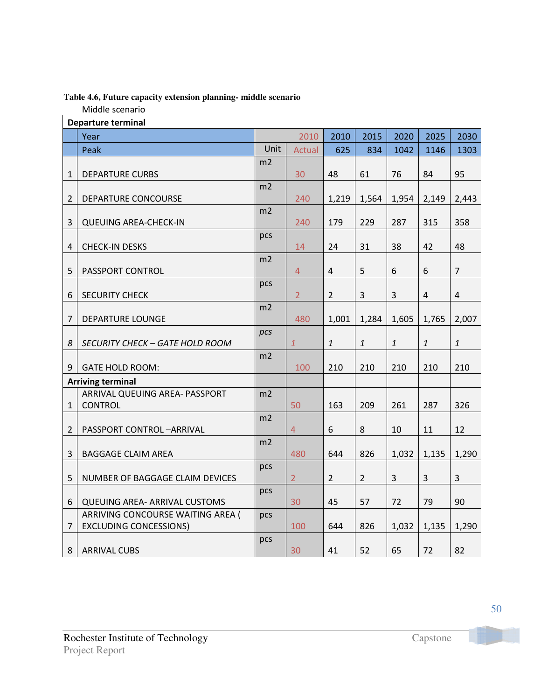### **Table 4.6, Future capacity extension planning- middle scenario**

Middle scenario

| 2010<br>2010<br>2015<br>2020<br>2025<br>Year<br>Unit<br>834<br>1042<br>1146<br>Peak<br><b>Actual</b><br>625<br>m <sub>2</sub><br>48<br>61<br>30<br>76<br>84<br>1<br><b>DEPARTURE CURBS</b><br>m2<br>$\overline{2}$<br>DEPARTURE CONCOURSE<br>240<br>1,219<br>1,564<br>1,954<br>2,149<br>m2<br>3<br>240<br>179<br>229<br>287<br><b>QUEUING AREA-CHECK-IN</b><br>315<br>pcs<br>38<br><b>CHECK-IN DESKS</b><br>14<br>24<br>31<br>42 | 2030<br>1303<br>95<br>2,443<br>358 |
|----------------------------------------------------------------------------------------------------------------------------------------------------------------------------------------------------------------------------------------------------------------------------------------------------------------------------------------------------------------------------------------------------------------------------------|------------------------------------|
|                                                                                                                                                                                                                                                                                                                                                                                                                                  |                                    |
|                                                                                                                                                                                                                                                                                                                                                                                                                                  |                                    |
|                                                                                                                                                                                                                                                                                                                                                                                                                                  |                                    |
|                                                                                                                                                                                                                                                                                                                                                                                                                                  |                                    |
|                                                                                                                                                                                                                                                                                                                                                                                                                                  |                                    |
|                                                                                                                                                                                                                                                                                                                                                                                                                                  |                                    |
|                                                                                                                                                                                                                                                                                                                                                                                                                                  |                                    |
|                                                                                                                                                                                                                                                                                                                                                                                                                                  |                                    |
| 4                                                                                                                                                                                                                                                                                                                                                                                                                                | 48                                 |
| m2                                                                                                                                                                                                                                                                                                                                                                                                                               |                                    |
| 5<br>$\overline{4}$<br>5<br>6<br>PASSPORT CONTROL<br>$\overline{4}$<br>6                                                                                                                                                                                                                                                                                                                                                         | $\overline{7}$                     |
| pcs                                                                                                                                                                                                                                                                                                                                                                                                                              |                                    |
| 3<br>3<br><b>SECURITY CHECK</b><br>$\overline{2}$<br>$\overline{2}$<br>$\sqrt{4}$<br>6                                                                                                                                                                                                                                                                                                                                           | $\overline{4}$                     |
| m2                                                                                                                                                                                                                                                                                                                                                                                                                               |                                    |
| $\overline{7}$<br>DEPARTURE LOUNGE<br>480<br>1,001<br>1,284<br>1,605<br>1,765                                                                                                                                                                                                                                                                                                                                                    | 2,007                              |
| pcs                                                                                                                                                                                                                                                                                                                                                                                                                              |                                    |
| $\mathbf{1}$<br>$\mathbf{1}$<br>$\mathbf{1}$<br>$\mathbf{1}$<br>8<br>$\mathbf{1}$<br>SECURITY CHECK – GATE HOLD ROOM                                                                                                                                                                                                                                                                                                             | $\mathbf{1}$                       |
| m2<br>9<br><b>GATE HOLD ROOM:</b><br>210<br>210<br>210<br>210<br>100                                                                                                                                                                                                                                                                                                                                                             | 210                                |
|                                                                                                                                                                                                                                                                                                                                                                                                                                  |                                    |
| <b>Arriving terminal</b><br>m2<br>ARRIVAL QUEUING AREA- PASSPORT                                                                                                                                                                                                                                                                                                                                                                 |                                    |
| <b>CONTROL</b><br>50<br>209<br>$\mathbf{1}$<br>163<br>261<br>287                                                                                                                                                                                                                                                                                                                                                                 | 326                                |
| m2                                                                                                                                                                                                                                                                                                                                                                                                                               |                                    |
| 6<br>8<br>10<br>11<br>$\overline{2}$<br>PASSPORT CONTROL-ARRIVAL<br>$\overline{4}$                                                                                                                                                                                                                                                                                                                                               | 12                                 |
| m2                                                                                                                                                                                                                                                                                                                                                                                                                               |                                    |
| 480<br>644<br>3<br><b>BAGGAGE CLAIM AREA</b><br>826<br>1,032<br>1,135                                                                                                                                                                                                                                                                                                                                                            | 1,290                              |
| pcs                                                                                                                                                                                                                                                                                                                                                                                                                              |                                    |
| $\mathbf{3}$<br>5<br>$\overline{2}$<br>$\overline{2}$<br>$\mathbf{3}$<br>NUMBER OF BAGGAGE CLAIM DEVICES<br>$\overline{2}$                                                                                                                                                                                                                                                                                                       | 3                                  |
| pcs                                                                                                                                                                                                                                                                                                                                                                                                                              |                                    |
| 57<br>72<br>6<br><b>QUEUING AREA- ARRIVAL CUSTOMS</b><br>30<br>45<br>79                                                                                                                                                                                                                                                                                                                                                          | 90                                 |
| ARRIVING CONCOURSE WAITING AREA (<br>pcs                                                                                                                                                                                                                                                                                                                                                                                         |                                    |
| 100<br>644<br>826<br>7<br><b>EXCLUDING CONCESSIONS)</b><br>1,032<br>1,135                                                                                                                                                                                                                                                                                                                                                        | 1,290                              |
| pcs<br>65<br>82<br><b>ARRIVAL CUBS</b><br>30<br>41<br>52<br>72<br>8                                                                                                                                                                                                                                                                                                                                                              |                                    |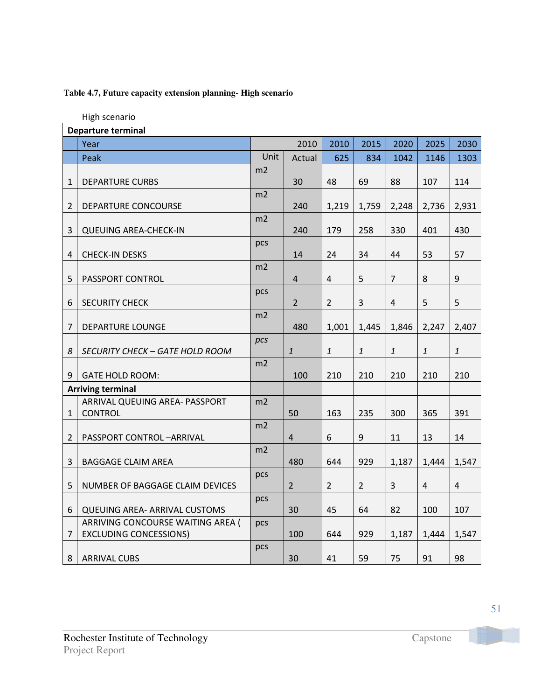### **Table 4.7, Future capacity extension planning- High scenario**

High scenario

 $\overline{\phantom{a}}$ 

| Departure terminal |  |
|--------------------|--|
|--------------------|--|

|                | Year                                   |      | 2010                    | 2010           | 2015             | 2020           | 2025           | 2030                      |
|----------------|----------------------------------------|------|-------------------------|----------------|------------------|----------------|----------------|---------------------------|
|                | Peak                                   | Unit | Actual                  | 625            | 834              | 1042           | 1146           | 1303                      |
|                |                                        | m2   |                         |                |                  |                |                |                           |
| $\mathbf{1}$   | <b>DEPARTURE CURBS</b>                 |      | 30                      | 48             | 69               | 88             | 107            | 114                       |
| $\overline{2}$ | DEPARTURE CONCOURSE                    | m2   | 240                     | 1,219          | 1,759            | 2,248          | 2,736          | 2,931                     |
|                |                                        | m2   |                         |                |                  |                |                |                           |
| 3              | <b>QUEUING AREA-CHECK-IN</b>           |      | 240                     | 179            | 258              | 330            | 401            | 430                       |
|                |                                        | pcs  |                         |                |                  |                |                |                           |
| 4              | <b>CHECK-IN DESKS</b>                  |      | 14                      | 24             | 34               | 44             | 53             | 57                        |
| 5              | PASSPORT CONTROL                       | m2   | $\overline{4}$          | $\overline{4}$ | 5                | $\overline{7}$ | 8              | $9\,$                     |
|                |                                        | pcs  |                         |                |                  |                |                |                           |
| 6              | <b>SECURITY CHECK</b>                  |      | $\overline{2}$          | $\overline{2}$ | 3                | $\overline{4}$ | 5              | 5                         |
|                |                                        | m2   |                         |                |                  |                |                |                           |
| 7              | <b>DEPARTURE LOUNGE</b>                |      | 480                     | 1,001          | 1,445            | 1,846          | 2,247          | 2,407                     |
|                |                                        | pcs  |                         |                |                  |                |                |                           |
| 8              | <b>SECURITY CHECK - GATE HOLD ROOM</b> |      | $\mathbf{1}$            | $\mathbf{1}$   | $\mathbf{1}$     | $\mathbf{1}$   | $\mathbf{1}$   | $\ensuremath{\mathbf{1}}$ |
|                |                                        | m2   |                         |                |                  |                |                |                           |
| 9              | <b>GATE HOLD ROOM:</b>                 |      | 100                     | 210            | 210              | 210            | 210            | 210                       |
|                | <b>Arriving terminal</b>               |      |                         |                |                  |                |                |                           |
|                | ARRIVAL QUEUING AREA- PASSPORT         | m2   |                         |                |                  |                |                |                           |
| $\mathbf{1}$   | <b>CONTROL</b>                         |      | 50                      | 163            | 235              | 300            | 365            | 391                       |
|                |                                        | m2   |                         |                |                  |                |                |                           |
| 2              | PASSPORT CONTROL-ARRIVAL               |      | $\overline{\mathbf{r}}$ | 6              | $\boldsymbol{9}$ | 11             | 13             | 14                        |
|                |                                        | m2   |                         |                |                  |                |                |                           |
| 3              | <b>BAGGAGE CLAIM AREA</b>              |      | 480                     | 644            | 929              | 1,187          | 1,444          | 1,547                     |
|                |                                        | pcs  |                         |                |                  |                |                |                           |
| 5              | NUMBER OF BAGGAGE CLAIM DEVICES        |      | $\overline{2}$          | $\overline{2}$ | $\overline{2}$   | $\mathbf{3}$   | $\overline{4}$ | $\overline{4}$            |
| 6              | <b>QUEUING AREA- ARRIVAL CUSTOMS</b>   | pcs  | 30                      | 45             | 64               | 82             | 100            | 107                       |
|                | ARRIVING CONCOURSE WAITING AREA (      | pcs  |                         |                |                  |                |                |                           |
| $\overline{7}$ | <b>EXCLUDING CONCESSIONS)</b>          |      | 100                     | 644            | 929              | 1,187          | 1,444          | 1,547                     |
|                |                                        | pcs  |                         |                |                  |                |                |                           |
| 8              | <b>ARRIVAL CUBS</b>                    |      | 30                      | 41             | 59               | 75             | 91             | 98                        |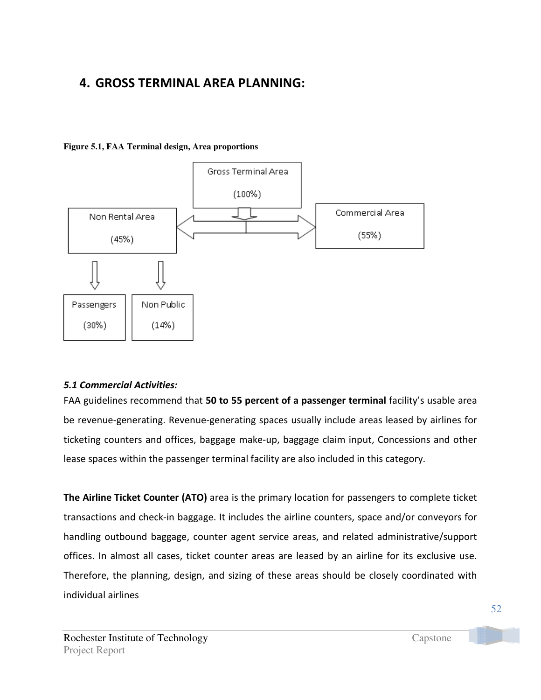# 4. GROSS TERMINAL AREA PLANNING:

### **Figure 5.1, FAA Terminal design, Area proportions**



### 5.1 Commercial Activities:

FAA guidelines recommend that 50 to 55 percent of a passenger terminal facility's usable area be revenue-generating. Revenue-generating spaces usually include areas leased by airlines for ticketing counters and offices, baggage make-up, baggage claim input, Concessions and other lease spaces within the passenger terminal facility are also included in this category.

The Airline Ticket Counter (ATO) area is the primary location for passengers to complete ticket transactions and check-in baggage. It includes the airline counters, space and/or conveyors for handling outbound baggage, counter agent service areas, and related administrative/support offices. In almost all cases, ticket counter areas are leased by an airline for its exclusive use. Therefore, the planning, design, and sizing of these areas should be closely coordinated with individual airlines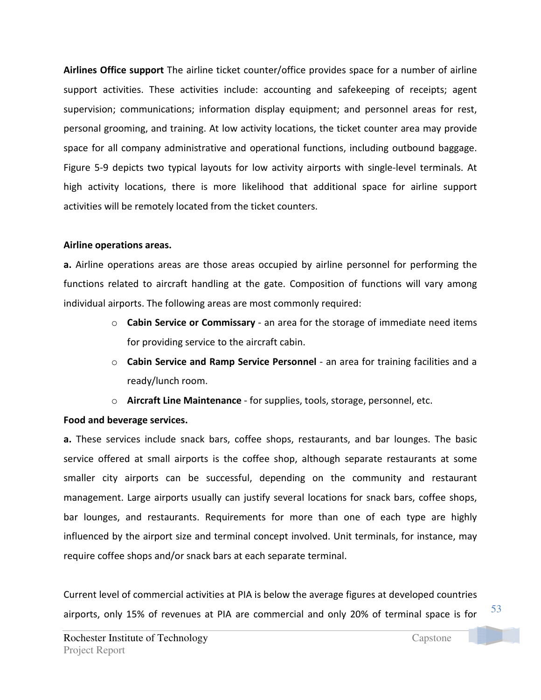Airlines Office support The airline ticket counter/office provides space for a number of airline support activities. These activities include: accounting and safekeeping of receipts; agent supervision; communications; information display equipment; and personnel areas for rest, personal grooming, and training. At low activity locations, the ticket counter area may provide space for all company administrative and operational functions, including outbound baggage. Figure 5-9 depicts two typical layouts for low activity airports with single-level terminals. At high activity locations, there is more likelihood that additional space for airline support activities will be remotely located from the ticket counters.

### Airline operations areas.

a. Airline operations areas are those areas occupied by airline personnel for performing the functions related to aircraft handling at the gate. Composition of functions will vary among individual airports. The following areas are most commonly required:

- o Cabin Service or Commissary an area for the storage of immediate need items for providing service to the aircraft cabin.
- $\circ$  Cabin Service and Ramp Service Personnel an area for training facilities and a ready/lunch room.
- o Aircraft Line Maintenance for supplies, tools, storage, personnel, etc.

## Food and beverage services.

a. These services include snack bars, coffee shops, restaurants, and bar lounges. The basic service offered at small airports is the coffee shop, although separate restaurants at some smaller city airports can be successful, depending on the community and restaurant management. Large airports usually can justify several locations for snack bars, coffee shops, bar lounges, and restaurants. Requirements for more than one of each type are highly influenced by the airport size and terminal concept involved. Unit terminals, for instance, may require coffee shops and/or snack bars at each separate terminal.

Current level of commercial activities at PIA is below the average figures at developed countries airports, only 15% of revenues at PIA are commercial and only 20% of terminal space is for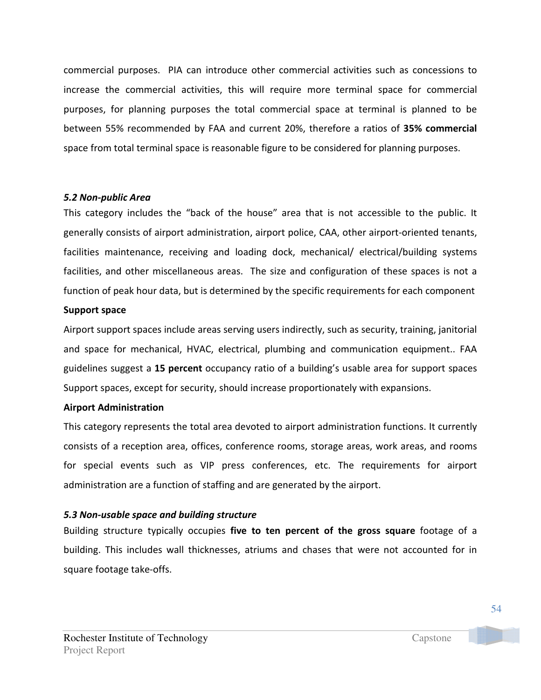commercial purposes. PIA can introduce other commercial activities such as concessions to increase the commercial activities, this will require more terminal space for commercial purposes, for planning purposes the total commercial space at terminal is planned to be between 55% recommended by FAA and current 20%, therefore a ratios of 35% commercial space from total terminal space is reasonable figure to be considered for planning purposes.

### 5.2 Non-public Area

This category includes the "back of the house" area that is not accessible to the public. It generally consists of airport administration, airport police, CAA, other airport-oriented tenants, facilities maintenance, receiving and loading dock, mechanical/ electrical/building systems facilities, and other miscellaneous areas. The size and configuration of these spaces is not a function of peak hour data, but is determined by the specific requirements for each component

### Support space

Airport support spaces include areas serving users indirectly, such as security, training, janitorial and space for mechanical, HVAC, electrical, plumbing and communication equipment.. FAA guidelines suggest a 15 percent occupancy ratio of a building's usable area for support spaces Support spaces, except for security, should increase proportionately with expansions.

### Airport Administration

This category represents the total area devoted to airport administration functions. It currently consists of a reception area, offices, conference rooms, storage areas, work areas, and rooms for special events such as VIP press conferences, etc. The requirements for airport administration are a function of staffing and are generated by the airport.

## 5.3 Non-usable space and building structure

Building structure typically occupies five to ten percent of the gross square footage of a building. This includes wall thicknesses, atriums and chases that were not accounted for in square footage take-offs.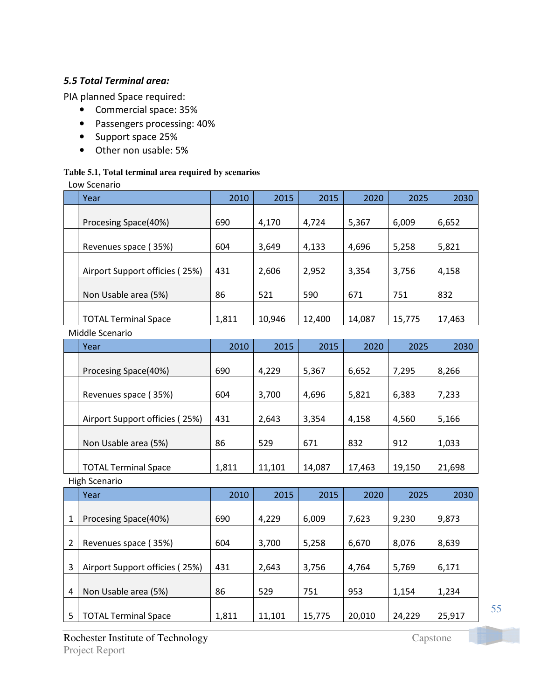### 5.5 Total Terminal area:

PIA planned Space required:

- Commercial space: 35%
- Passengers processing: 40%
- Support space 25%
- Other non usable: 5%

### **Table 5.1, Total terminal area required by scenarios**

Low Scenario

| Year                           | 2010  | 2015   | 2015   | 2020   | 2025   | 2030   |
|--------------------------------|-------|--------|--------|--------|--------|--------|
|                                |       |        |        |        |        |        |
| Procesing Space(40%)           | 690   | 4,170  | 4,724  | 5,367  | 6,009  | 6,652  |
|                                |       |        |        |        |        |        |
| Revenues space (35%)           | 604   | 3,649  | 4,133  | 4,696  | 5,258  | 5,821  |
|                                |       |        |        |        |        |        |
| Airport Support officies (25%) | 431   | 2,606  | 2,952  | 3,354  | 3,756  | 4,158  |
|                                |       |        |        |        |        |        |
| Non Usable area (5%)           | 86    | 521    | 590    | 671    | 751    | 832    |
|                                |       |        |        |        |        |        |
| <b>TOTAL Terminal Space</b>    | 1,811 | 10,946 | 12,400 | 14,087 | 15,775 | 17,463 |
|                                |       |        |        |        |        |        |

### Middle Scenario

| Year                           | 2010  | 2015   | 2015   | 2020   | 2025   | 2030   |
|--------------------------------|-------|--------|--------|--------|--------|--------|
| Procesing Space(40%)           | 690   | 4,229  | 5,367  | 6,652  | 7,295  | 8,266  |
| Revenues space (35%)           | 604   | 3,700  | 4,696  | 5,821  | 6,383  | 7,233  |
| Airport Support officies (25%) | 431   | 2,643  | 3,354  | 4,158  | 4,560  | 5,166  |
| Non Usable area (5%)           | 86    | 529    | 671    | 832    | 912    | 1,033  |
| <b>TOTAL Terminal Space</b>    | 1,811 | 11,101 | 14,087 | 17,463 | 19,150 | 21,698 |

High Scenario

|                | Year                           | 2010  | 2015   | 2015   | 2020   | 2025   | 2030   |
|----------------|--------------------------------|-------|--------|--------|--------|--------|--------|
|                |                                |       |        |        |        |        |        |
| 1              | Procesing Space(40%)           | 690   | 4,229  | 6,009  | 7,623  | 9,230  | 9,873  |
|                |                                |       |        |        |        |        |        |
| $\overline{2}$ | Revenues space (35%)           | 604   | 3,700  | 5,258  | 6,670  | 8,076  | 8,639  |
|                |                                |       |        |        |        |        |        |
| 3              | Airport Support officies (25%) | 431   | 2,643  | 3,756  | 4,764  | 5,769  | 6,171  |
|                |                                |       |        |        |        |        |        |
| 4              | Non Usable area (5%)           | 86    | 529    | 751    | 953    | 1,154  | 1,234  |
|                |                                |       |        |        |        |        |        |
| 5              | <b>TOTAL Terminal Space</b>    | 1,811 | 11,101 | 15,775 | 20,010 | 24,229 | 25,917 |

Rochester Institute of Technology Capstone Project Report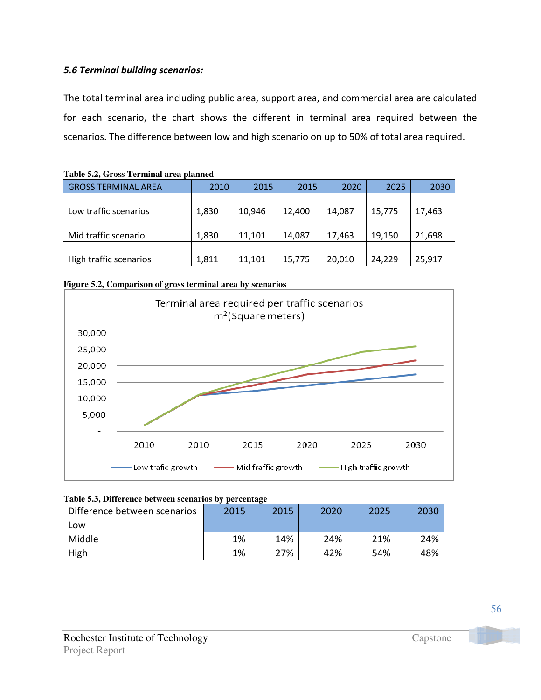### 5.6 Terminal building scenarios:

The total terminal area including public area, support area, and commercial area are calculated for each scenario, the chart shows the different in terminal area required between the scenarios. The difference between low and high scenario on up to 50% of total area required.

| Table 9.2, OT035 Terminal area planned |       |        |        |        |        |        |
|----------------------------------------|-------|--------|--------|--------|--------|--------|
| <b>GROSS TERMINAL AREA</b>             | 2010  | 2015   | 2015   | 2020   | 2025   | 2030   |
|                                        |       |        |        |        |        |        |
| Low traffic scenarios                  | 1,830 | 10,946 | 12.400 | 14,087 | 15,775 | 17,463 |
|                                        |       |        |        |        |        |        |
| Mid traffic scenario                   | 1,830 | 11,101 | 14,087 | 17,463 | 19,150 | 21,698 |
|                                        |       |        |        |        |        |        |
| High traffic scenarios                 | 1,811 | 11,101 | 15,775 | 20,010 | 24,229 | 25,917 |

|--|





| Table 5.3, Difference between scenarios by percentage |  |
|-------------------------------------------------------|--|
|-------------------------------------------------------|--|

| Difference between scenarios | 2015 | 2015 | 2020 | 2025 | 2030 |
|------------------------------|------|------|------|------|------|
| LOW                          |      |      |      |      |      |
| Middle                       | 1%   | 14%  | 24%  | 21%  | 24%  |
| High                         | 1%   | 27%  | 42%  | 54%  | 48%  |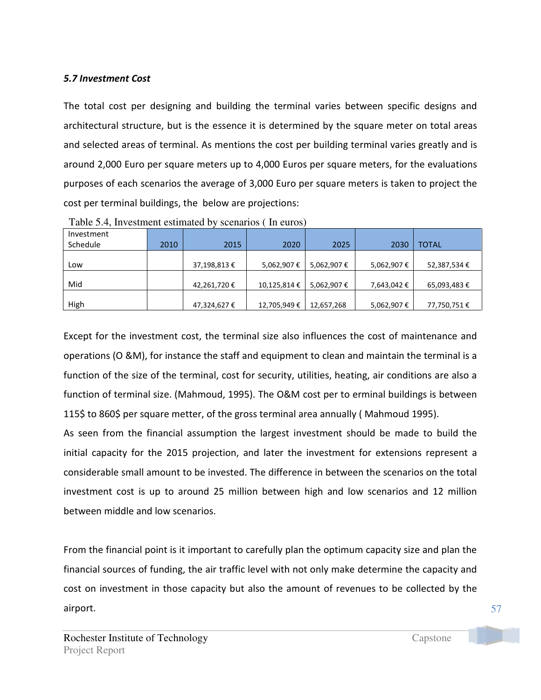### 5.7 Investment Cost

The total cost per designing and building the terminal varies between specific designs and architectural structure, but is the essence it is determined by the square meter on total areas and selected areas of terminal. As mentions the cost per building terminal varies greatly and is around 2,000 Euro per square meters up to 4,000 Euros per square meters, for the evaluations purposes of each scenarios the average of 3,000 Euro per square meters is taken to project the cost per terminal buildings, the below are projections:

| Investment |      |             |             |            |             |              |
|------------|------|-------------|-------------|------------|-------------|--------------|
| Schedule   | 2010 | 2015        | 2020        | 2025       | 2030        | <b>TOTAL</b> |
|            |      |             |             |            |             |              |
| Low        |      | 37,198,813€ | 5,062,907€  | 5,062,907€ | 5,062,907€  | 52,387,534 € |
|            |      |             |             |            |             |              |
| Mid        |      | 42,261,720€ | 10,125,814€ | 5,062,907€ | 7,643,042 € | 65,093,483€  |
|            |      |             |             |            |             |              |
| High       |      | 47,324,627€ | 12,705,949€ | 12,657,268 | 5,062,907€  | 77,750,751€  |

Table 5.4, Investment estimated by scenarios ( In euros)

Except for the investment cost, the terminal size also influences the cost of maintenance and operations (O &M), for instance the staff and equipment to clean and maintain the terminal is a function of the size of the terminal, cost for security, utilities, heating, air conditions are also a function of terminal size. (Mahmoud, 1995). The O&M cost per to erminal buildings is between 115\$ to 860\$ per square metter, of the gross terminal area annually ( Mahmoud 1995).

As seen from the financial assumption the largest investment should be made to build the initial capacity for the 2015 projection, and later the investment for extensions represent a considerable small amount to be invested. The difference in between the scenarios on the total investment cost is up to around 25 million between high and low scenarios and 12 million between middle and low scenarios.

From the financial point is it important to carefully plan the optimum capacity size and plan the financial sources of funding, the air traffic level with not only make determine the capacity and cost on investment in those capacity but also the amount of revenues to be collected by the airport.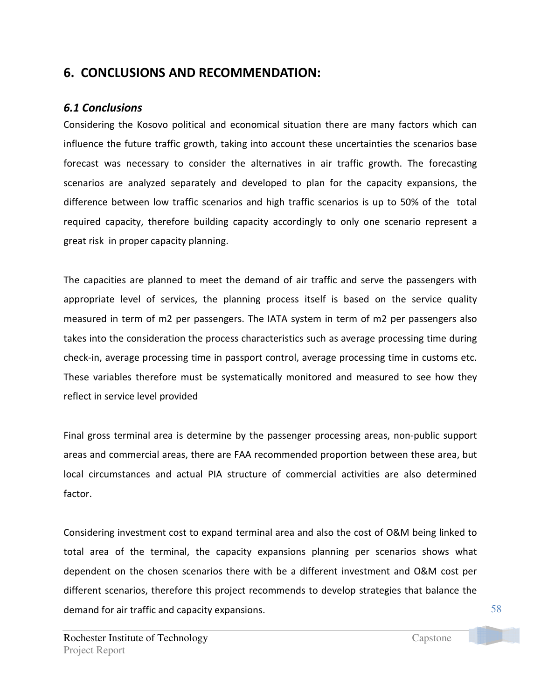## 6. CONCLUSIONS AND RECOMMENDATION:

## 6.1 Conclusions

Considering the Kosovo political and economical situation there are many factors which can influence the future traffic growth, taking into account these uncertainties the scenarios base forecast was necessary to consider the alternatives in air traffic growth. The forecasting scenarios are analyzed separately and developed to plan for the capacity expansions, the difference between low traffic scenarios and high traffic scenarios is up to 50% of the total required capacity, therefore building capacity accordingly to only one scenario represent a great risk in proper capacity planning.

The capacities are planned to meet the demand of air traffic and serve the passengers with appropriate level of services, the planning process itself is based on the service quality measured in term of m2 per passengers. The IATA system in term of m2 per passengers also takes into the consideration the process characteristics such as average processing time during check-in, average processing time in passport control, average processing time in customs etc. These variables therefore must be systematically monitored and measured to see how they reflect in service level provided

Final gross terminal area is determine by the passenger processing areas, non-public support areas and commercial areas, there are FAA recommended proportion between these area, but local circumstances and actual PIA structure of commercial activities are also determined factor.

Considering investment cost to expand terminal area and also the cost of O&M being linked to total area of the terminal, the capacity expansions planning per scenarios shows what dependent on the chosen scenarios there with be a different investment and O&M cost per different scenarios, therefore this project recommends to develop strategies that balance the demand for air traffic and capacity expansions.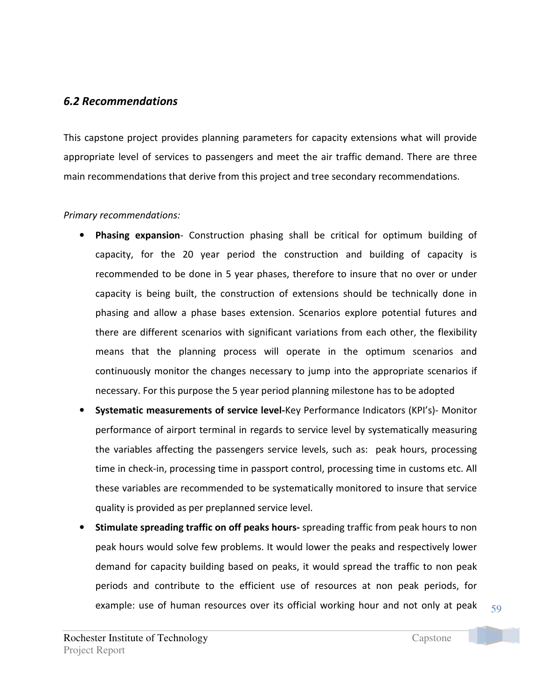## 6.2 Recommendations

This capstone project provides planning parameters for capacity extensions what will provide appropriate level of services to passengers and meet the air traffic demand. There are three main recommendations that derive from this project and tree secondary recommendations.

### Primary recommendations:

- Phasing expansion- Construction phasing shall be critical for optimum building of capacity, for the 20 year period the construction and building of capacity is recommended to be done in 5 year phases, therefore to insure that no over or under capacity is being built, the construction of extensions should be technically done in phasing and allow a phase bases extension. Scenarios explore potential futures and there are different scenarios with significant variations from each other, the flexibility means that the planning process will operate in the optimum scenarios and continuously monitor the changes necessary to jump into the appropriate scenarios if necessary. For this purpose the 5 year period planning milestone has to be adopted
- Systematic measurements of service level-Key Performance Indicators (KPI's)- Monitor performance of airport terminal in regards to service level by systematically measuring the variables affecting the passengers service levels, such as: peak hours, processing time in check-in, processing time in passport control, processing time in customs etc. All these variables are recommended to be systematically monitored to insure that service quality is provided as per preplanned service level.
- Stimulate spreading traffic on off peaks hours- spreading traffic from peak hours to non peak hours would solve few problems. It would lower the peaks and respectively lower demand for capacity building based on peaks, it would spread the traffic to non peak periods and contribute to the efficient use of resources at non peak periods, for example: use of human resources over its official working hour and not only at peak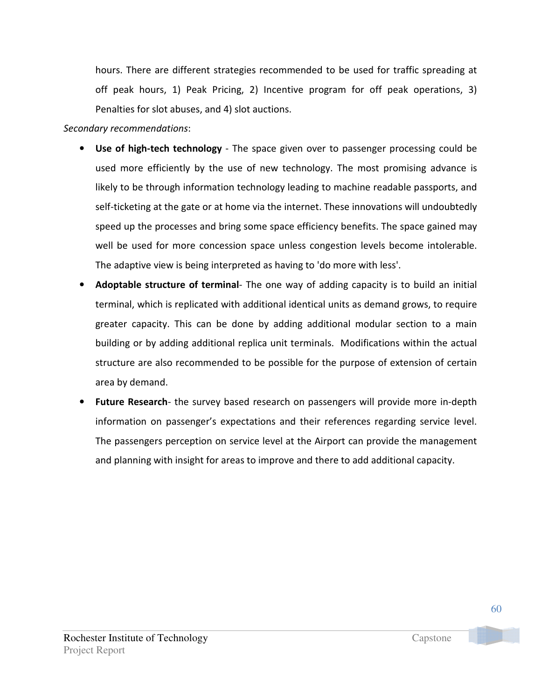hours. There are different strategies recommended to be used for traffic spreading at off peak hours, 1) Peak Pricing, 2) Incentive program for off peak operations, 3) Penalties for slot abuses, and 4) slot auctions.

### Secondary recommendations:

- Use of high-tech technology The space given over to passenger processing could be used more efficiently by the use of new technology. The most promising advance is likely to be through information technology leading to machine readable passports, and self-ticketing at the gate or at home via the internet. These innovations will undoubtedly speed up the processes and bring some space efficiency benefits. The space gained may well be used for more concession space unless congestion levels become intolerable. The adaptive view is being interpreted as having to 'do more with less'.
- **Adoptable structure of terminal-** The one way of adding capacity is to build an initial terminal, which is replicated with additional identical units as demand grows, to require greater capacity. This can be done by adding additional modular section to a main building or by adding additional replica unit terminals. Modifications within the actual structure are also recommended to be possible for the purpose of extension of certain area by demand.
- Future Research- the survey based research on passengers will provide more in-depth information on passenger's expectations and their references regarding service level. The passengers perception on service level at the Airport can provide the management and planning with insight for areas to improve and there to add additional capacity.

Project Report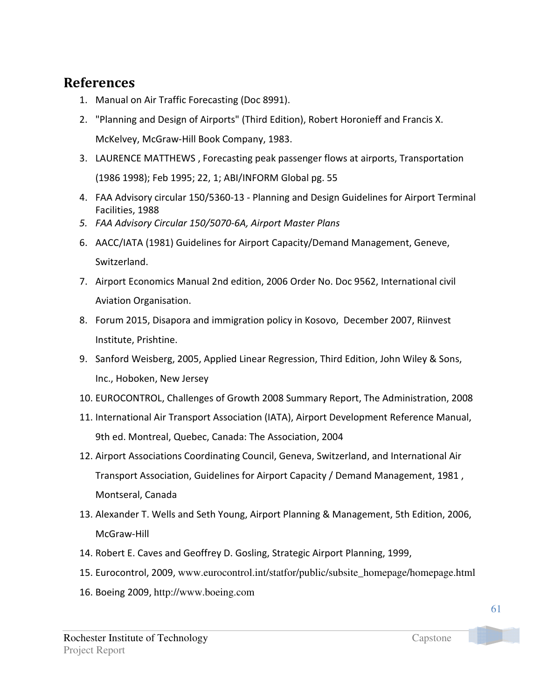# References

- 1. Manual on Air Traffic Forecasting (Doc 8991).
- 2. "Planning and Design of Airports" (Third Edition), Robert Horonieff and Francis X. McKelvey, McGraw-Hill Book Company, 1983.
- 3. LAURENCE MATTHEWS , Forecasting peak passenger flows at airports, Transportation (1986 1998); Feb 1995; 22, 1; ABI/INFORM Global pg. 55
- 4. FAA Advisory circular 150/5360-13 Planning and Design Guidelines for Airport Terminal Facilities, 1988
- 5. FAA Advisory Circular 150/5070-6A, Airport Master Plans
- 6. AACC/IATA (1981) Guidelines for Airport Capacity/Demand Management, Geneve, Switzerland.
- 7. Airport Economics Manual 2nd edition, 2006 Order No. Doc 9562, International civil Aviation Organisation.
- 8. Forum 2015, Disapora and immigration policy in Kosovo, December 2007, Riinvest Institute, Prishtine.
- 9. Sanford Weisberg, 2005, Applied Linear Regression, Third Edition, John Wiley & Sons, Inc., Hoboken, New Jersey
- 10. EUROCONTROL, Challenges of Growth 2008 Summary Report, The Administration, 2008
- 11. International Air Transport Association (IATA), Airport Development Reference Manual, 9th ed. Montreal, Quebec, Canada: The Association, 2004
- 12. Airport Associations Coordinating Council, Geneva, Switzerland, and International Air Transport Association, Guidelines for Airport Capacity / Demand Management, 1981 , Montseral, Canada
- 13. Alexander T. Wells and Seth Young, Airport Planning & Management, 5th Edition, 2006, McGraw-Hill
- 14. Robert E. Caves and Geoffrey D. Gosling, Strategic Airport Planning, 1999,
- 15. Eurocontrol, 2009, www.eurocontrol.int/statfor/public/subsite\_homepage/homepage.html
- 16. Boeing 2009, http://www.boeing.com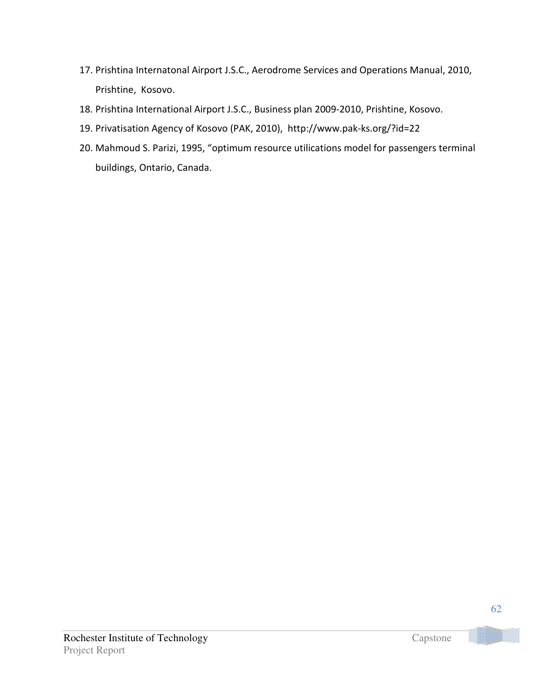- 17. Prishtina Internatonal Airport J.S.C., Aerodrome Services and Operations Manual, 2010, Prishtine, Kosovo.
- 18. Prishtina International Airport J.S.C., Business plan 2009-2010, Prishtine, Kosovo.
- 19. Privatisation Agency of Kosovo (PAK, 2010), http://www.pak-ks.org/?id=22
- 20. Mahmoud S. Parizi, 1995, "optimum resource utilications model for passengers terminal buildings, Ontario, Canada.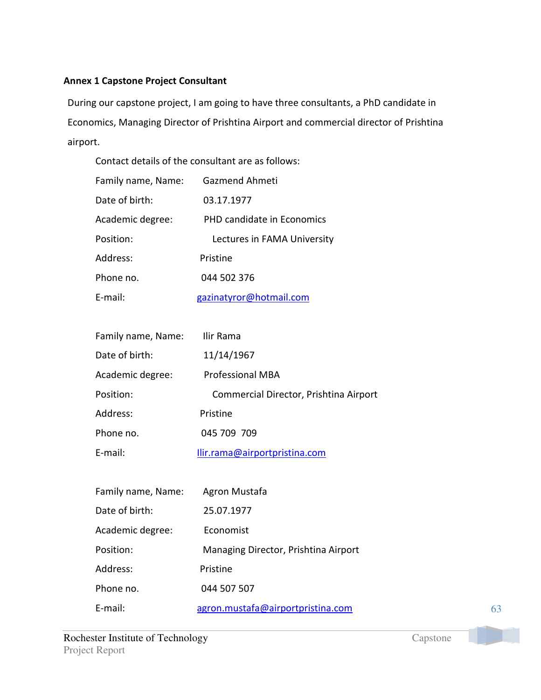### Annex 1 Capstone Project Consultant

During our capstone project, I am going to have three consultants, a PhD candidate in Economics, Managing Director of Prishtina Airport and commercial director of Prishtina airport.

| Contact details of the consultant are as follows: |                                        |  |  |  |
|---------------------------------------------------|----------------------------------------|--|--|--|
| Family name, Name:                                | Gazmend Ahmeti                         |  |  |  |
| Date of birth:                                    | 03.17.1977                             |  |  |  |
| Academic degree:                                  | PHD candidate in Economics             |  |  |  |
| Position:                                         | Lectures in FAMA University            |  |  |  |
| Address:                                          | Pristine                               |  |  |  |
| Phone no.                                         | 044 502 376                            |  |  |  |
| E-mail:                                           | gazinatyror@hotmail.com                |  |  |  |
|                                                   |                                        |  |  |  |
| Family name, Name:                                | Ilir Rama                              |  |  |  |
| Date of birth:                                    | 11/14/1967                             |  |  |  |
| Academic degree:                                  | <b>Professional MBA</b>                |  |  |  |
| Position:                                         | Commercial Director, Prishtina Airport |  |  |  |
| Address:                                          | Pristine                               |  |  |  |
| Phone no.                                         | 045 709 709                            |  |  |  |
| E-mail:                                           | llir.rama@airportpristina.com          |  |  |  |
|                                                   |                                        |  |  |  |
| Family name, Name:                                | Agron Mustafa                          |  |  |  |
| Date of birth:                                    | 25.07.1977                             |  |  |  |
| Academic degree:                                  | Economist                              |  |  |  |
| Position:                                         | Managing Director, Prishtina Airport   |  |  |  |
|                                                   |                                        |  |  |  |

Address: Pristine

Phone no. 044 507 507

E-mail: agron.mustafa@airportpristina.com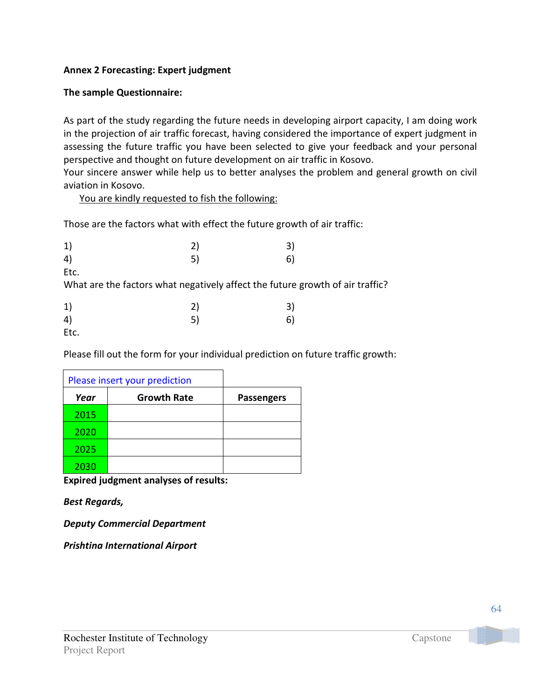### Annex 2 Forecasting: Expert judgment

### The sample Questionnaire:

As part of the study regarding the future needs in developing airport capacity, I am doing work in the projection of air traffic forecast, having considered the importance of expert judgment in assessing the future traffic you have been selected to give your feedback and your personal perspective and thought on future development on air traffic in Kosovo.

Your sincere answer while help us to better analyses the problem and general growth on civil aviation in Kosovo.

You are kindly requested to fish the following:

Those are the factors what with effect the future growth of air traffic:

|                                                                                       | 2)<br>5) | 3)<br>6) |
|---------------------------------------------------------------------------------------|----------|----------|
| Etc.<br>What are the factors what negatively affect the future growth of air traffic? |          |          |
| Etc.                                                                                  | 2)<br>5) | 3)<br>61 |

Please fill out the form for your individual prediction on future traffic growth:

|      | Please insert your prediction |                   |
|------|-------------------------------|-------------------|
| Year | <b>Growth Rate</b>            | <b>Passengers</b> |
| 2015 |                               |                   |
| 2020 |                               |                   |
| 2025 |                               |                   |
| 2030 |                               |                   |

Expired judgment analyses of results:

Best Regards,

Deputy Commercial Department

Prishtina International Airport